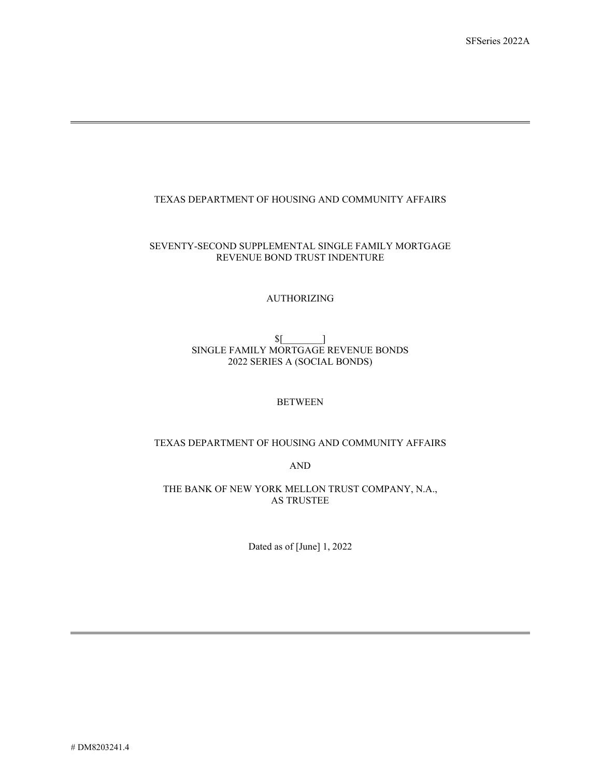# TEXAS DEPARTMENT OF HOUSING AND COMMUNITY AFFAIRS

### SEVENTY-SECOND SUPPLEMENTAL SINGLE FAMILY MORTGAGE REVENUE BOND TRUST INDENTURE

#### AUTHORIZING

## \$[\_\_\_\_\_\_\_\_] SINGLE FAMILY MORTGAGE REVENUE BONDS 2022 SERIES A (SOCIAL BONDS)

#### **BETWEEN**

# TEXAS DEPARTMENT OF HOUSING AND COMMUNITY AFFAIRS

AND

THE BANK OF NEW YORK MELLON TRUST COMPANY, N.A., AS TRUSTEE

Dated as of [June] 1, 2022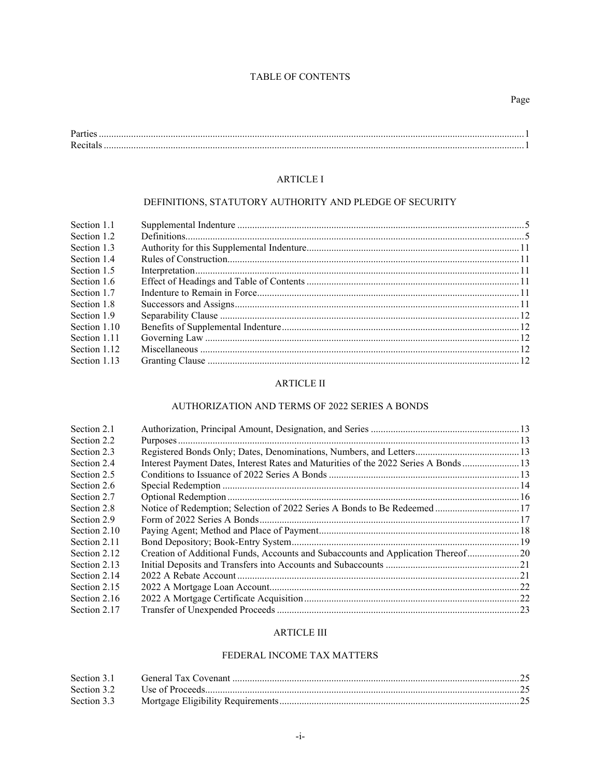# TABLE OF CONTENTS

| T. |  |
|----|--|
| n. |  |

# **ARTICLE I**

# DEFINITIONS, STATUTORY AUTHORITY AND PLEDGE OF SECURITY

| Section 1.1  |  |
|--------------|--|
| Section 1.2  |  |
| Section 1.3  |  |
| Section 1.4  |  |
| Section 1.5  |  |
| Section 1.6  |  |
| Section 1.7  |  |
| Section 1.8  |  |
| Section 1.9  |  |
| Section 1.10 |  |
| Section 1.11 |  |
| Section 1.12 |  |
| Section 1.13 |  |
|              |  |

# **ARTICLE II**

# AUTHORIZATION AND TERMS OF 2022 SERIES A BONDS

| Section 2.1  |                                                                                     |  |
|--------------|-------------------------------------------------------------------------------------|--|
| Section 2.2  |                                                                                     |  |
| Section 2.3  |                                                                                     |  |
| Section 2.4  | Interest Payment Dates, Interest Rates and Maturities of the 2022 Series A Bonds 13 |  |
| Section 2.5  |                                                                                     |  |
| Section 2.6  |                                                                                     |  |
| Section 2.7  |                                                                                     |  |
| Section 2.8  |                                                                                     |  |
| Section 2.9  |                                                                                     |  |
| Section 2.10 |                                                                                     |  |
| Section 2.11 |                                                                                     |  |
| Section 2.12 | Creation of Additional Funds, Accounts and Subaccounts and Application Thereof 20   |  |
| Section 2.13 |                                                                                     |  |
| Section 2.14 |                                                                                     |  |
| Section 2.15 |                                                                                     |  |
| Section 2.16 |                                                                                     |  |
| Section 2.17 |                                                                                     |  |
|              |                                                                                     |  |

# **ARTICLE III**

# FEDERAL INCOME TAX MATTERS

| Section 3.3 |  |
|-------------|--|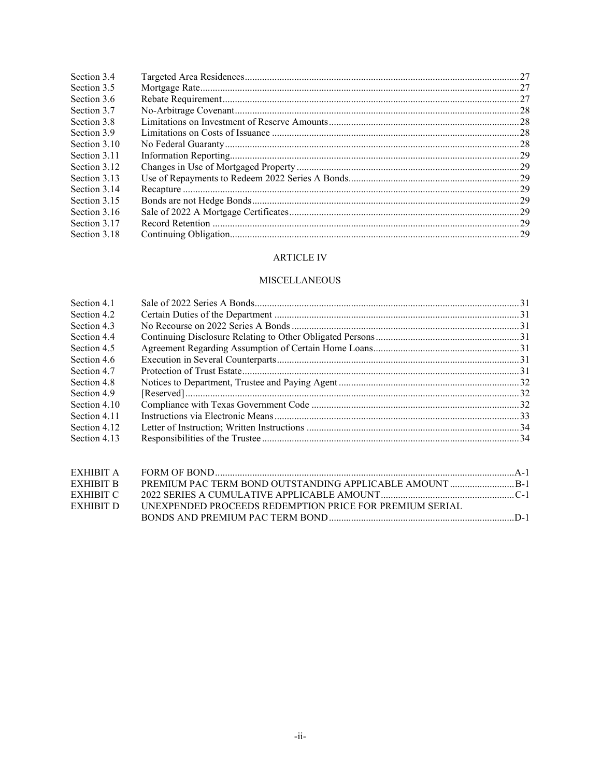| Section 3.4  |  |
|--------------|--|
| Section 3.5  |  |
| Section 3.6  |  |
| Section 3.7  |  |
| Section 3.8  |  |
| Section 3.9  |  |
| Section 3.10 |  |
| Section 3.11 |  |
| Section 3.12 |  |
| Section 3.13 |  |
| Section 3.14 |  |
| Section 3.15 |  |
| Section 3.16 |  |
| Section 3.17 |  |
| Section 3.18 |  |
|              |  |

### **ARTICLE IV**

# **MISCELLANEOUS**

| Section 4.1  |  |
|--------------|--|
| Section 4.2  |  |
| Section 4.3  |  |
| Section 4.4  |  |
| Section 4.5  |  |
| Section 4.6  |  |
| Section 4.7  |  |
| Section 4.8  |  |
| Section 4.9  |  |
| Section 4.10 |  |
| Section 4.11 |  |
| Section 4.12 |  |
| Section 4.13 |  |
|              |  |

| EXHIBIT B |                                                                |  |
|-----------|----------------------------------------------------------------|--|
| EXHIBIT C |                                                                |  |
| EXHIBIT D | <b>UNEXPENDED PROCEEDS REDEMPTION PRICE FOR PREMIUM SERIAL</b> |  |
|           |                                                                |  |
|           |                                                                |  |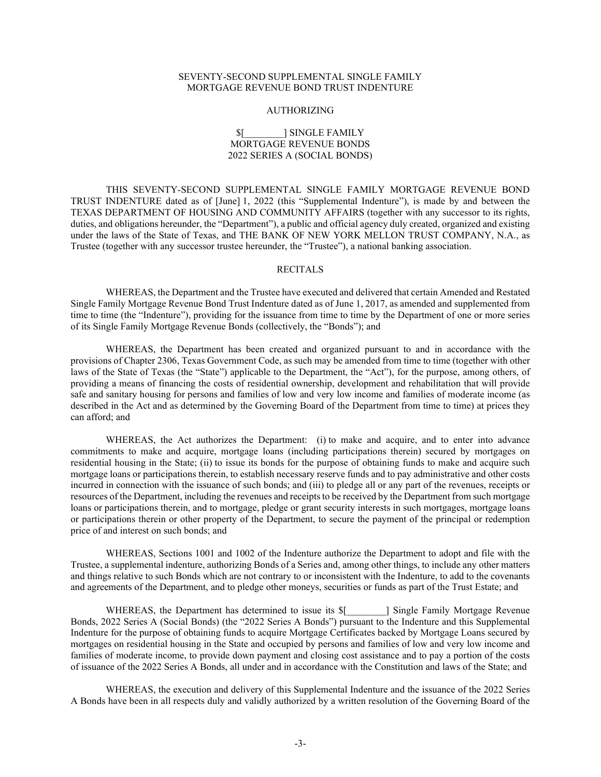#### SEVENTY-SECOND SUPPLEMENTAL SINGLE FAMILY MORTGAGE REVENUE BOND TRUST INDENTURE

#### AUTHORIZING

#### \$[\_\_\_\_\_\_\_\_] SINGLE FAMILY MORTGAGE REVENUE BONDS 2022 SERIES A (SOCIAL BONDS)

THIS SEVENTY-SECOND SUPPLEMENTAL SINGLE FAMILY MORTGAGE REVENUE BOND TRUST INDENTURE dated as of [June] 1, 2022 (this "Supplemental Indenture"), is made by and between the TEXAS DEPARTMENT OF HOUSING AND COMMUNITY AFFAIRS (together with any successor to its rights, duties, and obligations hereunder, the "Department"), a public and official agency duly created, organized and existing under the laws of the State of Texas, and THE BANK OF NEW YORK MELLON TRUST COMPANY, N.A., as Trustee (together with any successor trustee hereunder, the "Trustee"), a national banking association.

#### **RECITALS**

WHEREAS, the Department and the Trustee have executed and delivered that certain Amended and Restated Single Family Mortgage Revenue Bond Trust Indenture dated as of June 1, 2017, as amended and supplemented from time to time (the "Indenture"), providing for the issuance from time to time by the Department of one or more series of its Single Family Mortgage Revenue Bonds (collectively, the "Bonds"); and

WHEREAS, the Department has been created and organized pursuant to and in accordance with the provisions of Chapter 2306, Texas Government Code, as such may be amended from time to time (together with other laws of the State of Texas (the "State") applicable to the Department, the "Act"), for the purpose, among others, of providing a means of financing the costs of residential ownership, development and rehabilitation that will provide safe and sanitary housing for persons and families of low and very low income and families of moderate income (as described in the Act and as determined by the Governing Board of the Department from time to time) at prices they can afford; and

WHEREAS, the Act authorizes the Department: (i) to make and acquire, and to enter into advance commitments to make and acquire, mortgage loans (including participations therein) secured by mortgages on residential housing in the State; (ii) to issue its bonds for the purpose of obtaining funds to make and acquire such mortgage loans or participations therein, to establish necessary reserve funds and to pay administrative and other costs incurred in connection with the issuance of such bonds; and (iii) to pledge all or any part of the revenues, receipts or resources of the Department, including the revenues and receipts to be received by the Department from such mortgage loans or participations therein, and to mortgage, pledge or grant security interests in such mortgages, mortgage loans or participations therein or other property of the Department, to secure the payment of the principal or redemption price of and interest on such bonds; and

WHEREAS, Sections 1001 and 1002 of the Indenture authorize the Department to adopt and file with the Trustee, a supplemental indenture, authorizing Bonds of a Series and, among other things, to include any other matters and things relative to such Bonds which are not contrary to or inconsistent with the Indenture, to add to the covenants and agreements of the Department, and to pledge other moneys, securities or funds as part of the Trust Estate; and

WHEREAS, the Department has determined to issue its  $\mathcal{S}$ [ [2015] Single Family Mortgage Revenue Bonds, 2022 Series A (Social Bonds) (the "2022 Series A Bonds") pursuant to the Indenture and this Supplemental Indenture for the purpose of obtaining funds to acquire Mortgage Certificates backed by Mortgage Loans secured by mortgages on residential housing in the State and occupied by persons and families of low and very low income and families of moderate income, to provide down payment and closing cost assistance and to pay a portion of the costs of issuance of the 2022 Series A Bonds, all under and in accordance with the Constitution and laws of the State; and

WHEREAS, the execution and delivery of this Supplemental Indenture and the issuance of the 2022 Series A Bonds have been in all respects duly and validly authorized by a written resolution of the Governing Board of the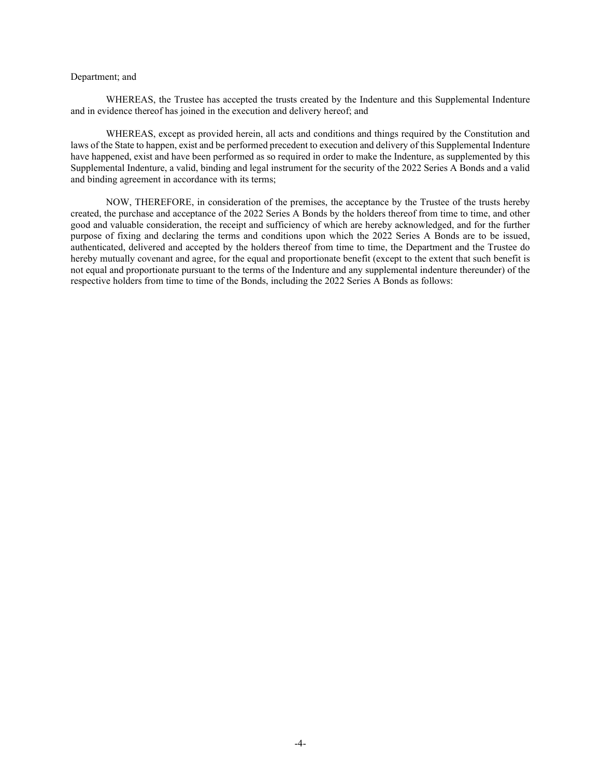#### Department; and

WHEREAS, the Trustee has accepted the trusts created by the Indenture and this Supplemental Indenture and in evidence thereof has joined in the execution and delivery hereof; and

WHEREAS, except as provided herein, all acts and conditions and things required by the Constitution and laws of the State to happen, exist and be performed precedent to execution and delivery of this Supplemental Indenture have happened, exist and have been performed as so required in order to make the Indenture, as supplemented by this Supplemental Indenture, a valid, binding and legal instrument for the security of the 2022 Series A Bonds and a valid and binding agreement in accordance with its terms;

NOW, THEREFORE, in consideration of the premises, the acceptance by the Trustee of the trusts hereby created, the purchase and acceptance of the 2022 Series A Bonds by the holders thereof from time to time, and other good and valuable consideration, the receipt and sufficiency of which are hereby acknowledged, and for the further purpose of fixing and declaring the terms and conditions upon which the 2022 Series A Bonds are to be issued, authenticated, delivered and accepted by the holders thereof from time to time, the Department and the Trustee do hereby mutually covenant and agree, for the equal and proportionate benefit (except to the extent that such benefit is not equal and proportionate pursuant to the terms of the Indenture and any supplemental indenture thereunder) of the respective holders from time to time of the Bonds, including the 2022 Series A Bonds as follows: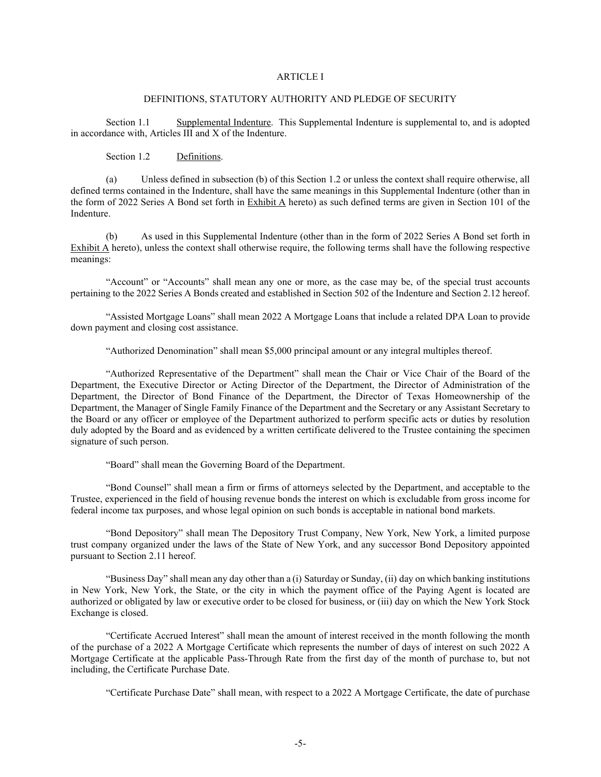### ARTICLE I

#### DEFINITIONS, STATUTORY AUTHORITY AND PLEDGE OF SECURITY

Section 1.1 Supplemental Indenture. This Supplemental Indenture is supplemental to, and is adopted in accordance with, Articles III and X of the Indenture.

Section 1.2 Definitions.

<span id="page-5-0"></span>(a) Unless defined in subsection (b) of thi[s Section 1.2](#page-5-0) or unless the context shall require otherwise, all defined terms contained in the Indenture, shall have the same meanings in this Supplemental Indenture (other than in the form of 2022 Series A Bond set forth in Exhibit A hereto) as such defined terms are given in Section 101 of the Indenture.

(b) As used in this Supplemental Indenture (other than in the form of 2022 Series A Bond set forth in Exhibit A hereto), unless the context shall otherwise require, the following terms shall have the following respective meanings:

"Account" or "Accounts" shall mean any one or more, as the case may be, of the special trust accounts pertaining to the 2022 Series A Bonds created and established in Section 502 of the Indenture an[d Section 2.12](#page-20-0) hereof.

"Assisted Mortgage Loans" shall mean 2022 A Mortgage Loans that include a related DPA Loan to provide down payment and closing cost assistance.

"Authorized Denomination" shall mean \$5,000 principal amount or any integral multiples thereof.

"Authorized Representative of the Department" shall mean the Chair or Vice Chair of the Board of the Department, the Executive Director or Acting Director of the Department, the Director of Administration of the Department, the Director of Bond Finance of the Department, the Director of Texas Homeownership of the Department, the Manager of Single Family Finance of the Department and the Secretary or any Assistant Secretary to the Board or any officer or employee of the Department authorized to perform specific acts or duties by resolution duly adopted by the Board and as evidenced by a written certificate delivered to the Trustee containing the specimen signature of such person.

"Board" shall mean the Governing Board of the Department.

"Bond Counsel" shall mean a firm or firms of attorneys selected by the Department, and acceptable to the Trustee, experienced in the field of housing revenue bonds the interest on which is excludable from gross income for federal income tax purposes, and whose legal opinion on such bonds is acceptable in national bond markets.

"Bond Depository" shall mean The Depository Trust Company, New York, New York, a limited purpose trust company organized under the laws of the State of New York, and any successor Bond Depository appointed pursuant to [Section 2.11](#page-19-0) hereof.

"Business Day" shall mean any day other than a (i) Saturday or Sunday, (ii) day on which banking institutions in New York, New York, the State, or the city in which the payment office of the Paying Agent is located are authorized or obligated by law or executive order to be closed for business, or (iii) day on which the New York Stock Exchange is closed.

"Certificate Accrued Interest" shall mean the amount of interest received in the month following the month of the purchase of a 2022 A Mortgage Certificate which represents the number of days of interest on such 2022 A Mortgage Certificate at the applicable Pass-Through Rate from the first day of the month of purchase to, but not including, the Certificate Purchase Date.

"Certificate Purchase Date" shall mean, with respect to a 2022 A Mortgage Certificate, the date of purchase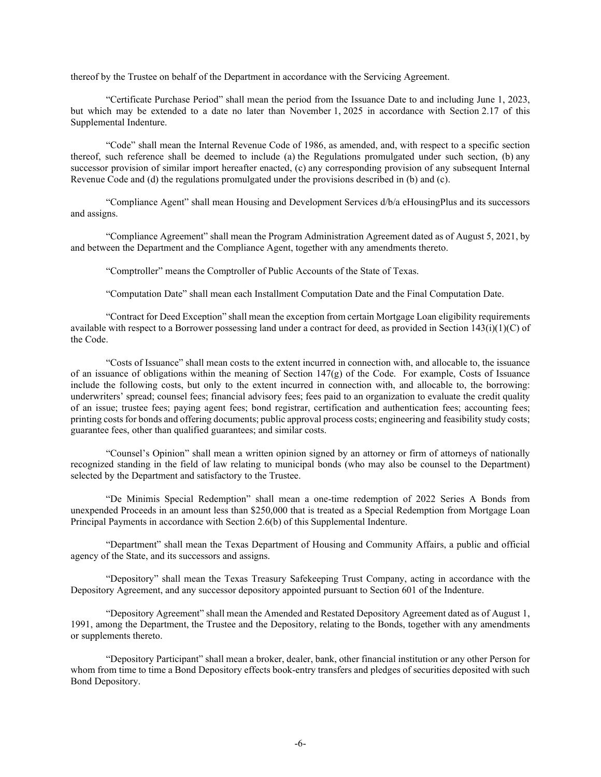thereof by the Trustee on behalf of the Department in accordance with the Servicing Agreement.

"Certificate Purchase Period" shall mean the period from the Issuance Date to and including June 1, 2023, but which may be extended to a date no later than November 1, 2025 in accordance with Section 2.17 of this Supplemental Indenture.

"Code" shall mean the Internal Revenue Code of 1986, as amended, and, with respect to a specific section thereof, such reference shall be deemed to include (a) the Regulations promulgated under such section, (b) any successor provision of similar import hereafter enacted, (c) any corresponding provision of any subsequent Internal Revenue Code and (d) the regulations promulgated under the provisions described in (b) and (c).

"Compliance Agent" shall mean Housing and Development Services d/b/a eHousingPlus and its successors and assigns.

"Compliance Agreement" shall mean the Program Administration Agreement dated as of August 5, 2021, by and between the Department and the Compliance Agent, together with any amendments thereto.

"Comptroller" means the Comptroller of Public Accounts of the State of Texas.

"Computation Date" shall mean each Installment Computation Date and the Final Computation Date.

"Contract for Deed Exception" shall mean the exception from certain Mortgage Loan eligibility requirements available with respect to a Borrower possessing land under a contract for deed, as provided in Section  $143(i)(1)(C)$  of the Code.

"Costs of Issuance" shall mean costs to the extent incurred in connection with, and allocable to, the issuance of an issuance of obligations within the meaning of Section  $147(g)$  of the Code. For example, Costs of Issuance include the following costs, but only to the extent incurred in connection with, and allocable to, the borrowing: underwriters' spread; counsel fees; financial advisory fees; fees paid to an organization to evaluate the credit quality of an issue; trustee fees; paying agent fees; bond registrar, certification and authentication fees; accounting fees; printing costs for bonds and offering documents; public approval process costs; engineering and feasibility study costs; guarantee fees, other than qualified guarantees; and similar costs.

"Counsel's Opinion" shall mean a written opinion signed by an attorney or firm of attorneys of nationally recognized standing in the field of law relating to municipal bonds (who may also be counsel to the Department) selected by the Department and satisfactory to the Trustee.

"De Minimis Special Redemption" shall mean a one-time redemption of 2022 Series A Bonds from unexpended Proceeds in an amount less than \$250,000 that is treated as a Special Redemption from Mortgage Loan Principal Payments in accordance with Section 2.6(b) of this Supplemental Indenture.

"Department" shall mean the Texas Department of Housing and Community Affairs, a public and official agency of the State, and its successors and assigns.

"Depository" shall mean the Texas Treasury Safekeeping Trust Company, acting in accordance with the Depository Agreement, and any successor depository appointed pursuant to Section 601 of the Indenture.

"Depository Agreement" shall mean the Amended and Restated Depository Agreement dated as of August 1, 1991, among the Department, the Trustee and the Depository, relating to the Bonds, together with any amendments or supplements thereto.

"Depository Participant" shall mean a broker, dealer, bank, other financial institution or any other Person for whom from time to time a Bond Depository effects book-entry transfers and pledges of securities deposited with such Bond Depository.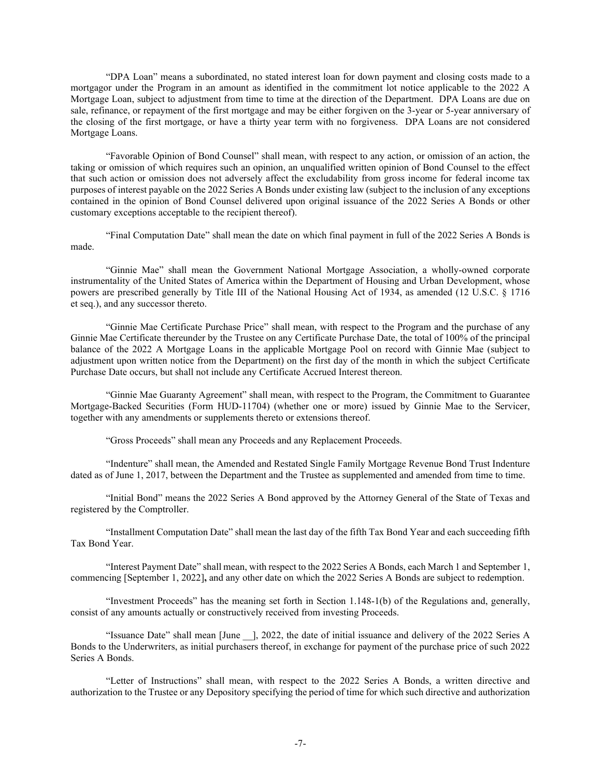"DPA Loan" means a subordinated, no stated interest loan for down payment and closing costs made to a mortgagor under the Program in an amount as identified in the commitment lot notice applicable to the 2022 A Mortgage Loan, subject to adjustment from time to time at the direction of the Department. DPA Loans are due on sale, refinance, or repayment of the first mortgage and may be either forgiven on the 3-year or 5-year anniversary of the closing of the first mortgage, or have a thirty year term with no forgiveness. DPA Loans are not considered Mortgage Loans.

"Favorable Opinion of Bond Counsel" shall mean, with respect to any action, or omission of an action, the taking or omission of which requires such an opinion, an unqualified written opinion of Bond Counsel to the effect that such action or omission does not adversely affect the excludability from gross income for federal income tax purposes of interest payable on the 2022 Series A Bonds under existing law (subject to the inclusion of any exceptions contained in the opinion of Bond Counsel delivered upon original issuance of the 2022 Series A Bonds or other customary exceptions acceptable to the recipient thereof).

"Final Computation Date" shall mean the date on which final payment in full of the 2022 Series A Bonds is made.

"Ginnie Mae" shall mean the Government National Mortgage Association, a wholly-owned corporate instrumentality of the United States of America within the Department of Housing and Urban Development, whose powers are prescribed generally by Title III of the National Housing Act of 1934, as amended (12 U.S.C. § 1716 et seq.), and any successor thereto.

"Ginnie Mae Certificate Purchase Price" shall mean, with respect to the Program and the purchase of any Ginnie Mae Certificate thereunder by the Trustee on any Certificate Purchase Date, the total of 100% of the principal balance of the 2022 A Mortgage Loans in the applicable Mortgage Pool on record with Ginnie Mae (subject to adjustment upon written notice from the Department) on the first day of the month in which the subject Certificate Purchase Date occurs, but shall not include any Certificate Accrued Interest thereon.

"Ginnie Mae Guaranty Agreement" shall mean, with respect to the Program, the Commitment to Guarantee Mortgage-Backed Securities (Form HUD-11704) (whether one or more) issued by Ginnie Mae to the Servicer, together with any amendments or supplements thereto or extensions thereof.

"Gross Proceeds" shall mean any Proceeds and any Replacement Proceeds.

"Indenture" shall mean, the Amended and Restated Single Family Mortgage Revenue Bond Trust Indenture dated as of June 1, 2017, between the Department and the Trustee as supplemented and amended from time to time.

"Initial Bond" means the 2022 Series A Bond approved by the Attorney General of the State of Texas and registered by the Comptroller.

"Installment Computation Date" shall mean the last day of the fifth Tax Bond Year and each succeeding fifth Tax Bond Year.

"Interest Payment Date" shall mean, with respect to the 2022 Series A Bonds, each March 1 and September 1, commencing [September 1, 2022]**,** and any other date on which the 2022 Series A Bonds are subject to redemption.

"Investment Proceeds" has the meaning set forth in Section 1.148-1(b) of the Regulations and, generally, consist of any amounts actually or constructively received from investing Proceeds.

"Issuance Date" shall mean [June \_\_], 2022, the date of initial issuance and delivery of the 2022 Series A Bonds to the Underwriters, as initial purchasers thereof, in exchange for payment of the purchase price of such 2022 Series A Bonds.

"Letter of Instructions" shall mean, with respect to the 2022 Series A Bonds, a written directive and authorization to the Trustee or any Depository specifying the period of time for which such directive and authorization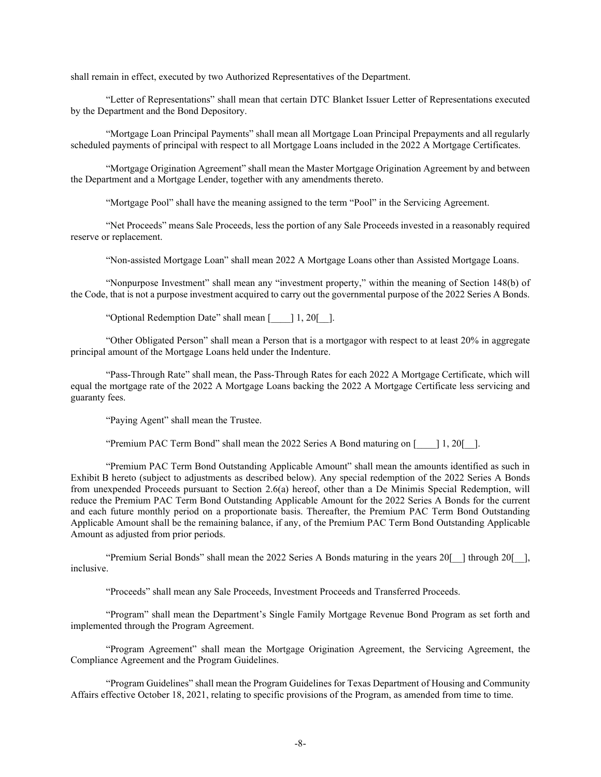shall remain in effect, executed by two Authorized Representatives of the Department.

"Letter of Representations" shall mean that certain DTC Blanket Issuer Letter of Representations executed by the Department and the Bond Depository.

"Mortgage Loan Principal Payments" shall mean all Mortgage Loan Principal Prepayments and all regularly scheduled payments of principal with respect to all Mortgage Loans included in the 2022 A Mortgage Certificates.

"Mortgage Origination Agreement" shall mean the Master Mortgage Origination Agreement by and between the Department and a Mortgage Lender, together with any amendments thereto.

"Mortgage Pool" shall have the meaning assigned to the term "Pool" in the Servicing Agreement.

"Net Proceeds" means Sale Proceeds, less the portion of any Sale Proceeds invested in a reasonably required reserve or replacement.

"Non-assisted Mortgage Loan" shall mean 2022 A Mortgage Loans other than Assisted Mortgage Loans.

"Nonpurpose Investment" shall mean any "investment property," within the meaning of Section 148(b) of the Code, that is not a purpose investment acquired to carry out the governmental purpose of the 2022 Series A Bonds.

"Optional Redemption Date" shall mean [\_\_\_\_] 1, 20[\_\_].

"Other Obligated Person" shall mean a Person that is a mortgagor with respect to at least 20% in aggregate principal amount of the Mortgage Loans held under the Indenture.

"Pass-Through Rate" shall mean, the Pass-Through Rates for each 2022 A Mortgage Certificate, which will equal the mortgage rate of the 2022 A Mortgage Loans backing the 2022 A Mortgage Certificate less servicing and guaranty fees.

"Paying Agent" shall mean the Trustee.

"Premium PAC Term Bond" shall mean the 2022 Series A Bond maturing on [\_\_\_\_] 1, 20[\_\_].

"Premium PAC Term Bond Outstanding Applicable Amount" shall mean the amounts identified as such in Exhibit B hereto (subject to adjustments as described below). Any special redemption of the 2022 Series A Bonds from unexpended Proceeds pursuant to Section 2.6(a) hereof, other than a De Minimis Special Redemption, will reduce the Premium PAC Term Bond Outstanding Applicable Amount for the 2022 Series A Bonds for the current and each future monthly period on a proportionate basis. Thereafter, the Premium PAC Term Bond Outstanding Applicable Amount shall be the remaining balance, if any, of the Premium PAC Term Bond Outstanding Applicable Amount as adjusted from prior periods.

"Premium Serial Bonds" shall mean the 2022 Series A Bonds maturing in the years 20[\_\_] through 20[\_\_], inclusive.

"Proceeds" shall mean any Sale Proceeds, Investment Proceeds and Transferred Proceeds.

"Program" shall mean the Department's Single Family Mortgage Revenue Bond Program as set forth and implemented through the Program Agreement.

"Program Agreement" shall mean the Mortgage Origination Agreement, the Servicing Agreement, the Compliance Agreement and the Program Guidelines.

"Program Guidelines" shall mean the Program Guidelines for Texas Department of Housing and Community Affairs effective October 18, 2021, relating to specific provisions of the Program, as amended from time to time.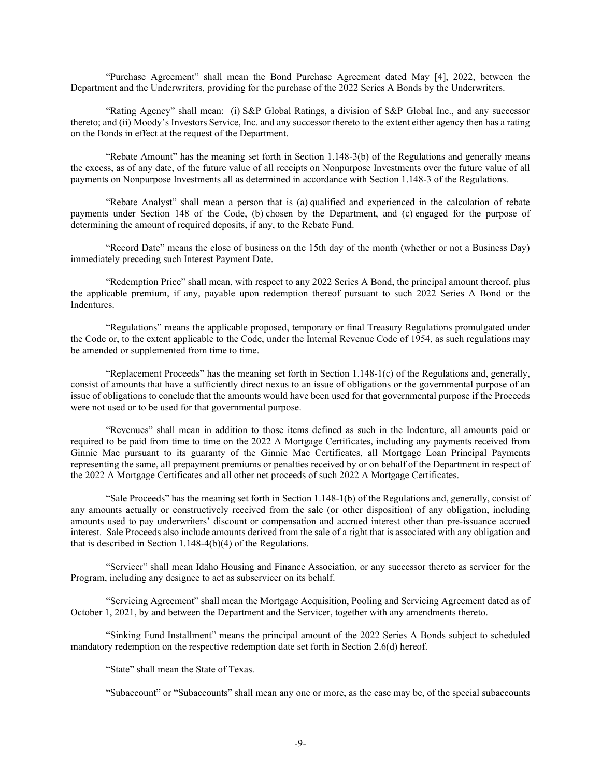"Purchase Agreement" shall mean the Bond Purchase Agreement dated May [4], 2022, between the Department and the Underwriters, providing for the purchase of the 2022 Series A Bonds by the Underwriters.

"Rating Agency" shall mean: (i) S&P Global Ratings, a division of S&P Global Inc., and any successor thereto; and (ii) Moody's Investors Service, Inc. and any successor thereto to the extent either agency then has a rating on the Bonds in effect at the request of the Department.

"Rebate Amount" has the meaning set forth in Section 1.148-3(b) of the Regulations and generally means the excess, as of any date, of the future value of all receipts on Nonpurpose Investments over the future value of all payments on Nonpurpose Investments all as determined in accordance with Section 1.148-3 of the Regulations.

"Rebate Analyst" shall mean a person that is (a) qualified and experienced in the calculation of rebate payments under Section 148 of the Code, (b) chosen by the Department, and (c) engaged for the purpose of determining the amount of required deposits, if any, to the Rebate Fund.

"Record Date" means the close of business on the 15th day of the month (whether or not a Business Day) immediately preceding such Interest Payment Date.

"Redemption Price" shall mean, with respect to any 2022 Series A Bond, the principal amount thereof, plus the applicable premium, if any, payable upon redemption thereof pursuant to such 2022 Series A Bond or the Indentures.

"Regulations" means the applicable proposed, temporary or final Treasury Regulations promulgated under the Code or, to the extent applicable to the Code, under the Internal Revenue Code of 1954, as such regulations may be amended or supplemented from time to time.

"Replacement Proceeds" has the meaning set forth in Section 1.148-1(c) of the Regulations and, generally, consist of amounts that have a sufficiently direct nexus to an issue of obligations or the governmental purpose of an issue of obligations to conclude that the amounts would have been used for that governmental purpose if the Proceeds were not used or to be used for that governmental purpose.

"Revenues" shall mean in addition to those items defined as such in the Indenture, all amounts paid or required to be paid from time to time on the 2022 A Mortgage Certificates, including any payments received from Ginnie Mae pursuant to its guaranty of the Ginnie Mae Certificates, all Mortgage Loan Principal Payments representing the same, all prepayment premiums or penalties received by or on behalf of the Department in respect of the 2022 A Mortgage Certificates and all other net proceeds of such 2022 A Mortgage Certificates.

"Sale Proceeds" has the meaning set forth in Section 1.148-1(b) of the Regulations and, generally, consist of any amounts actually or constructively received from the sale (or other disposition) of any obligation, including amounts used to pay underwriters' discount or compensation and accrued interest other than pre-issuance accrued interest. Sale Proceeds also include amounts derived from the sale of a right that is associated with any obligation and that is described in Section 1.148-4(b)(4) of the Regulations.

"Servicer" shall mean Idaho Housing and Finance Association, or any successor thereto as servicer for the Program, including any designee to act as subservicer on its behalf.

"Servicing Agreement" shall mean the Mortgage Acquisition, Pooling and Servicing Agreement dated as of October 1, 2021, by and between the Department and the Servicer, together with any amendments thereto.

"Sinking Fund Installment" means the principal amount of the 2022 Series A Bonds subject to scheduled mandatory redemption on the respective redemption date set forth in Section 2.6(d) hereof.

"State" shall mean the State of Texas.

"Subaccount" or "Subaccounts" shall mean any one or more, as the case may be, of the special subaccounts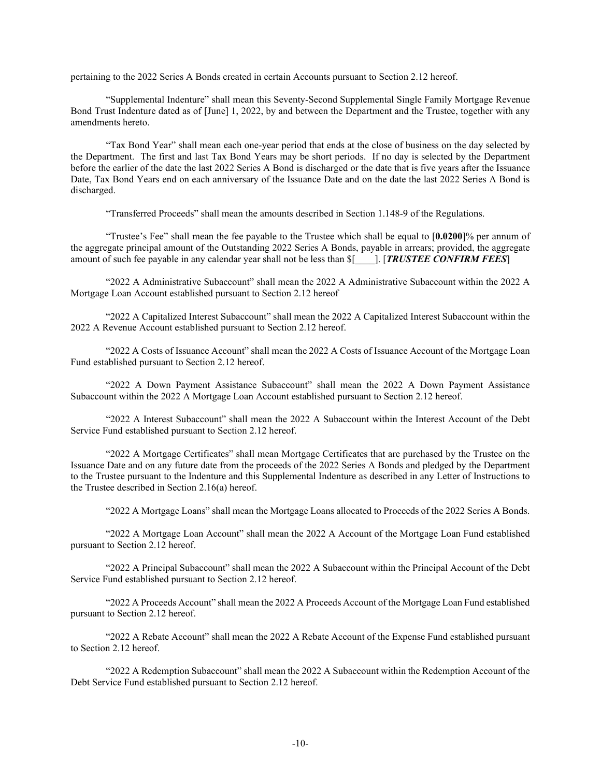pertaining to the 2022 Series A Bonds created in certain Accounts pursuant to [Section 2.12](#page-20-0) hereof.

"Supplemental Indenture" shall mean this Seventy-Second Supplemental Single Family Mortgage Revenue Bond Trust Indenture dated as of [June] 1, 2022, by and between the Department and the Trustee, together with any amendments hereto.

"Tax Bond Year" shall mean each one-year period that ends at the close of business on the day selected by the Department. The first and last Tax Bond Years may be short periods. If no day is selected by the Department before the earlier of the date the last 2022 Series A Bond is discharged or the date that is five years after the Issuance Date, Tax Bond Years end on each anniversary of the Issuance Date and on the date the last 2022 Series A Bond is discharged.

"Transferred Proceeds" shall mean the amounts described in Section 1.148-9 of the Regulations.

"Trustee's Fee" shall mean the fee payable to the Trustee which shall be equal to [**0.0200**]% per annum of the aggregate principal amount of the Outstanding 2022 Series A Bonds, payable in arrears; provided, the aggregate amount of such fee payable in any calendar year shall not be less than \$[\_\_\_\_]. [*TRUSTEE CONFIRM FEES*]

"2022 A Administrative Subaccount" shall mean the 2022 A Administrative Subaccount within the 2022 A Mortgage Loan Account established pursuant to Section 2.12 hereof

"2022 A Capitalized Interest Subaccount" shall mean the 2022 A Capitalized Interest Subaccount within the 2022 A Revenue Account established pursuant to Section 2.12 hereof.

"2022 A Costs of Issuance Account" shall mean the 2022 A Costs of Issuance Account of the Mortgage Loan Fund established pursuant to [Section 2.12](#page-20-0) hereof.

"2022 A Down Payment Assistance Subaccount" shall mean the 2022 A Down Payment Assistance Subaccount within the 2022 A Mortgage Loan Account established pursuant to Section 2.12 hereof.

"2022 A Interest Subaccount" shall mean the 2022 A Subaccount within the Interest Account of the Debt Service Fund established pursuant to Section 2.12 hereof.

"2022 A Mortgage Certificates" shall mean Mortgage Certificates that are purchased by the Trustee on the Issuance Date and on any future date from the proceeds of the 2022 Series A Bonds and pledged by the Department to the Trustee pursuant to the Indenture and this Supplemental Indenture as described in any Letter of Instructions to the Trustee described in [Section 2.16\(a\)](#page-22-0) hereof.

"2022 A Mortgage Loans" shall mean the Mortgage Loans allocated to Proceeds of the 2022 Series A Bonds.

"2022 A Mortgage Loan Account" shall mean the 2022 A Account of the Mortgage Loan Fund established pursuant to [Section 2.12](#page-20-0) hereof.

"2022 A Principal Subaccount" shall mean the 2022 A Subaccount within the Principal Account of the Debt Service Fund established pursuant to Section 2.12 hereof.

"2022 A Proceeds Account" shall mean the 2022 A Proceeds Account of the Mortgage Loan Fund established pursuant to [Section 2.12](#page-20-0) hereof.

"2022 A Rebate Account" shall mean the 2022 A Rebate Account of the Expense Fund established pursuant to [Section 2.12](#page-20-0) hereof.

"2022 A Redemption Subaccount" shall mean the 2022 A Subaccount within the Redemption Account of the Debt Service Fund established pursuant t[o Section 2.12](#page-20-0) hereof.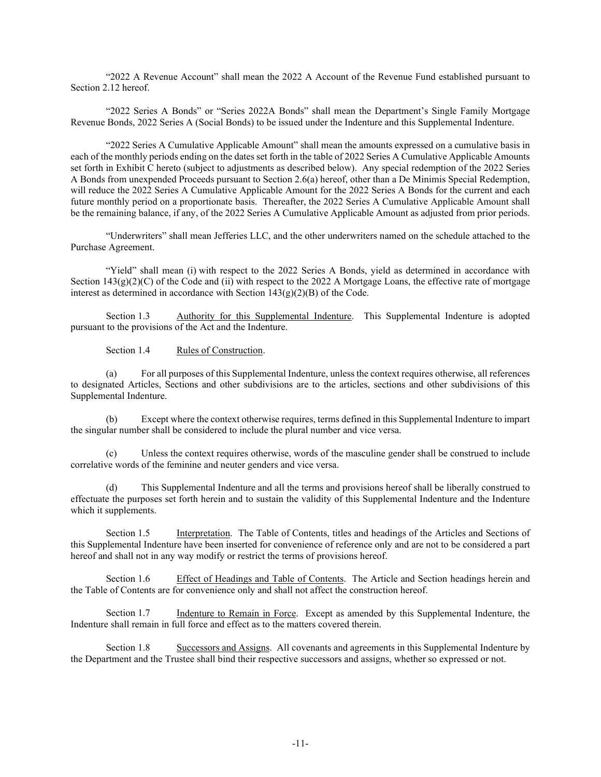"2022 A Revenue Account" shall mean the 2022 A Account of the Revenue Fund established pursuant to [Section 2.12](#page-20-0) hereof.

"2022 Series A Bonds" or "Series 2022A Bonds" shall mean the Department's Single Family Mortgage Revenue Bonds, 2022 Series A (Social Bonds) to be issued under the Indenture and this Supplemental Indenture.

"2022 Series A Cumulative Applicable Amount" shall mean the amounts expressed on a cumulative basis in each of the monthly periods ending on the dates set forth in the table of 2022 Series A Cumulative Applicable Amounts set forth in Exhibit C hereto (subject to adjustments as described below). Any special redemption of the 2022 Series A Bonds from unexpended Proceeds pursuant to Section 2.6(a) hereof, other than a De Minimis Special Redemption, will reduce the 2022 Series A Cumulative Applicable Amount for the 2022 Series A Bonds for the current and each future monthly period on a proportionate basis. Thereafter, the 2022 Series A Cumulative Applicable Amount shall be the remaining balance, if any, of the 2022 Series A Cumulative Applicable Amount as adjusted from prior periods.

"Underwriters" shall mean Jefferies LLC, and the other underwriters named on the schedule attached to the Purchase Agreement.

"Yield" shall mean (i) with respect to the 2022 Series A Bonds, yield as determined in accordance with Section  $143(g)(2)(C)$  of the Code and (ii) with respect to the 2022 A Mortgage Loans, the effective rate of mortgage interest as determined in accordance with Section  $143(g)(2)(B)$  of the Code.

Section 1.3 Authority for this Supplemental Indenture. This Supplemental Indenture is adopted pursuant to the provisions of the Act and the Indenture.

Section 1.4 Rules of Construction.

(a) For all purposes of this Supplemental Indenture, unless the context requires otherwise, all references to designated Articles, Sections and other subdivisions are to the articles, sections and other subdivisions of this Supplemental Indenture.

(b) Except where the context otherwise requires, terms defined in this Supplemental Indenture to impart the singular number shall be considered to include the plural number and vice versa.

Unless the context requires otherwise, words of the masculine gender shall be construed to include correlative words of the feminine and neuter genders and vice versa.

(d) This Supplemental Indenture and all the terms and provisions hereof shall be liberally construed to effectuate the purposes set forth herein and to sustain the validity of this Supplemental Indenture and the Indenture which it supplements.

Section 1.5 Interpretation. The Table of Contents, titles and headings of the Articles and Sections of this Supplemental Indenture have been inserted for convenience of reference only and are not to be considered a part hereof and shall not in any way modify or restrict the terms of provisions hereof.

Section 1.6 Effect of Headings and Table of Contents. The Article and Section headings herein and the Table of Contents are for convenience only and shall not affect the construction hereof.

Section 1.7 Indenture to Remain in Force. Except as amended by this Supplemental Indenture, the Indenture shall remain in full force and effect as to the matters covered therein.

Section 1.8 Successors and Assigns. All covenants and agreements in this Supplemental Indenture by the Department and the Trustee shall bind their respective successors and assigns, whether so expressed or not.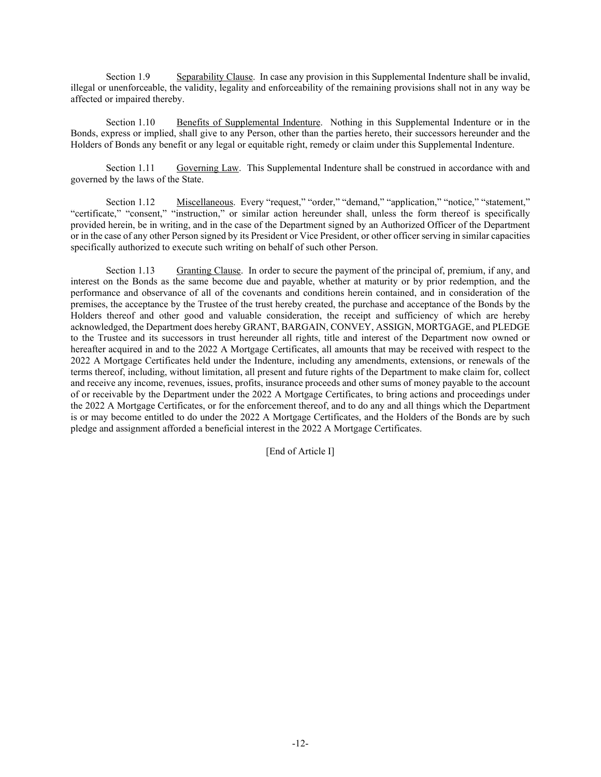Section 1.9 Separability Clause. In case any provision in this Supplemental Indenture shall be invalid, illegal or unenforceable, the validity, legality and enforceability of the remaining provisions shall not in any way be affected or impaired thereby.

Section 1.10 Benefits of Supplemental Indenture. Nothing in this Supplemental Indenture or in the Bonds, express or implied, shall give to any Person, other than the parties hereto, their successors hereunder and the Holders of Bonds any benefit or any legal or equitable right, remedy or claim under this Supplemental Indenture.

Section 1.11 Governing Law. This Supplemental Indenture shall be construed in accordance with and governed by the laws of the State.

Section 1.12 Miscellaneous. Every "request," "order," "demand," "application," "notice," "statement," "certificate," "consent," "instruction," or similar action hereunder shall, unless the form thereof is specifically provided herein, be in writing, and in the case of the Department signed by an Authorized Officer of the Department or in the case of any other Person signed by its President or Vice President, or other officer serving in similar capacities specifically authorized to execute such writing on behalf of such other Person.

Section 1.13 Granting Clause. In order to secure the payment of the principal of, premium, if any, and interest on the Bonds as the same become due and payable, whether at maturity or by prior redemption, and the performance and observance of all of the covenants and conditions herein contained, and in consideration of the premises, the acceptance by the Trustee of the trust hereby created, the purchase and acceptance of the Bonds by the Holders thereof and other good and valuable consideration, the receipt and sufficiency of which are hereby acknowledged, the Department does hereby GRANT, BARGAIN, CONVEY, ASSIGN, MORTGAGE, and PLEDGE to the Trustee and its successors in trust hereunder all rights, title and interest of the Department now owned or hereafter acquired in and to the 2022 A Mortgage Certificates, all amounts that may be received with respect to the 2022 A Mortgage Certificates held under the Indenture, including any amendments, extensions, or renewals of the terms thereof, including, without limitation, all present and future rights of the Department to make claim for, collect and receive any income, revenues, issues, profits, insurance proceeds and other sums of money payable to the account of or receivable by the Department under the 2022 A Mortgage Certificates, to bring actions and proceedings under the 2022 A Mortgage Certificates, or for the enforcement thereof, and to do any and all things which the Department is or may become entitled to do under the 2022 A Mortgage Certificates, and the Holders of the Bonds are by such pledge and assignment afforded a beneficial interest in the 2022 A Mortgage Certificates.

[End of Article I]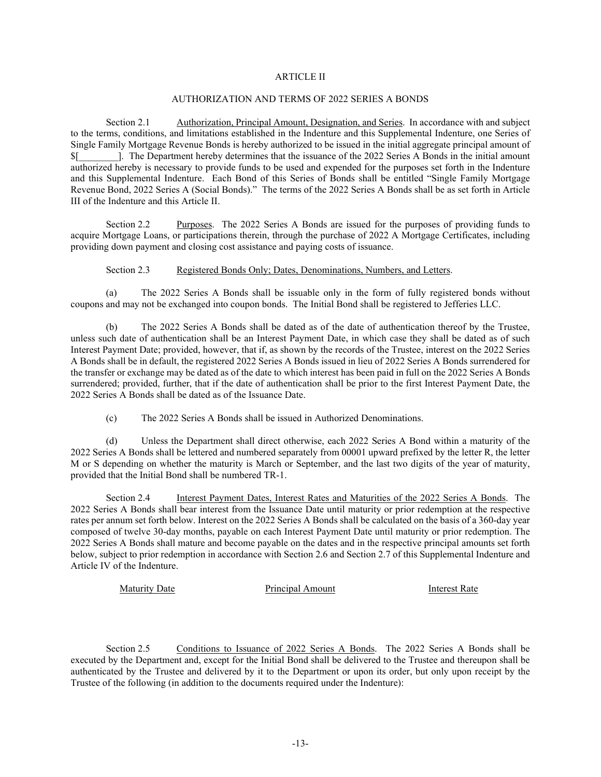#### ARTICLE II

#### AUTHORIZATION AND TERMS OF 2022 SERIES A BONDS

<span id="page-13-0"></span>Section 2.1 Authorization, Principal Amount, Designation, and Series. In accordance with and subject to the terms, conditions, and limitations established in the Indenture and this Supplemental Indenture, one Series of Single Family Mortgage Revenue Bonds is hereby authorized to be issued in the initial aggregate principal amount of \$[\_\_\_\_\_\_\_\_]. The Department hereby determines that the issuance of the 2022 Series A Bonds in the initial amount authorized hereby is necessary to provide funds to be used and expended for the purposes set forth in the Indenture and this Supplemental Indenture. Each Bond of this Series of Bonds shall be entitled "Single Family Mortgage Revenue Bond, 2022 Series A (Social Bonds)." The terms of the 2022 Series A Bonds shall be as set forth in Article III of the Indenture and thi[s Article II.](#page-13-0)

Section 2.2 Purposes. The 2022 Series A Bonds are issued for the purposes of providing funds to acquire Mortgage Loans, or participations therein, through the purchase of 2022 A Mortgage Certificates, including providing down payment and closing cost assistance and paying costs of issuance.

Section 2.3 Registered Bonds Only; Dates, Denominations, Numbers, and Letters.

(a) The 2022 Series A Bonds shall be issuable only in the form of fully registered bonds without coupons and may not be exchanged into coupon bonds. The Initial Bond shall be registered to Jefferies LLC.

(b) The 2022 Series A Bonds shall be dated as of the date of authentication thereof by the Trustee, unless such date of authentication shall be an Interest Payment Date, in which case they shall be dated as of such Interest Payment Date; provided, however, that if, as shown by the records of the Trustee, interest on the 2022 Series A Bonds shall be in default, the registered 2022 Series A Bonds issued in lieu of 2022 Series A Bonds surrendered for the transfer or exchange may be dated as of the date to which interest has been paid in full on the 2022 Series A Bonds surrendered; provided, further, that if the date of authentication shall be prior to the first Interest Payment Date, the 2022 Series A Bonds shall be dated as of the Issuance Date.

(c) The 2022 Series A Bonds shall be issued in Authorized Denominations.

(d) Unless the Department shall direct otherwise, each 2022 Series A Bond within a maturity of the 2022 Series A Bonds shall be lettered and numbered separately from 00001 upward prefixed by the letter R, the letter M or S depending on whether the maturity is March or September, and the last two digits of the year of maturity, provided that the Initial Bond shall be numbered TR-1.

Section 2.4 Interest Payment Dates, Interest Rates and Maturities of the 2022 Series A Bonds. The 2022 Series A Bonds shall bear interest from the Issuance Date until maturity or prior redemption at the respective rates per annum set forth below. Interest on the 2022 Series A Bonds shall be calculated on the basis of a 360-day year composed of twelve 30-day months, payable on each Interest Payment Date until maturity or prior redemption. The 2022 Series A Bonds shall mature and become payable on the dates and in the respective principal amounts set forth below, subject to prior redemption in accordance with Section 2.6 and Section 2.7 of this Supplemental Indenture and Article IV of the Indenture.

Maturity Date **Principal Amount** Interest Rate

Section 2.5 Conditions to Issuance of 2022 Series A Bonds. The 2022 Series A Bonds shall be executed by the Department and, except for the Initial Bond shall be delivered to the Trustee and thereupon shall be authenticated by the Trustee and delivered by it to the Department or upon its order, but only upon receipt by the Trustee of the following (in addition to the documents required under the Indenture):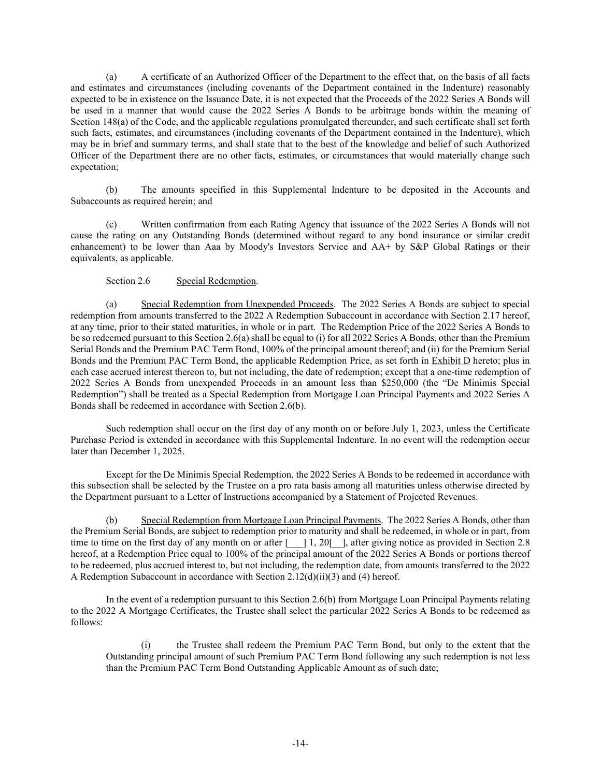(a) A certificate of an Authorized Officer of the Department to the effect that, on the basis of all facts and estimates and circumstances (including covenants of the Department contained in the Indenture) reasonably expected to be in existence on the Issuance Date, it is not expected that the Proceeds of the 2022 Series A Bonds will be used in a manner that would cause the 2022 Series A Bonds to be arbitrage bonds within the meaning of Section 148(a) of the Code, and the applicable regulations promulgated thereunder, and such certificate shall set forth such facts, estimates, and circumstances (including covenants of the Department contained in the Indenture), which may be in brief and summary terms, and shall state that to the best of the knowledge and belief of such Authorized Officer of the Department there are no other facts, estimates, or circumstances that would materially change such expectation;

(b) The amounts specified in this Supplemental Indenture to be deposited in the Accounts and Subaccounts as required herein; and

(c) Written confirmation from each Rating Agency that issuance of the 2022 Series A Bonds will not cause the rating on any Outstanding Bonds (determined without regard to any bond insurance or similar credit enhancement) to be lower than Aaa by Moody's Investors Service and AA+ by S&P Global Ratings or their equivalents, as applicable.

## Section 2.6 Special Redemption.

<span id="page-14-0"></span>(a) Special Redemption from Unexpended Proceeds. The 2022 Series A Bonds are subject to special redemption from amounts transferred to the 2022 A Redemption Subaccount in accordance with Section 2.17 hereof, at any time, prior to their stated maturities, in whole or in part. The Redemption Price of the 2022 Series A Bonds to be so redeemed pursuant to this Section 2.6(a) shall be equal to (i) for all 2022 Series A Bonds, other than the Premium Serial Bonds and the Premium PAC Term Bond, 100% of the principal amount thereof; and (ii) for the Premium Serial Bonds and the Premium PAC Term Bond, the applicable Redemption Price, as set forth in Exhibit D hereto; plus in each case accrued interest thereon to, but not including, the date of redemption; except that a one-time redemption of 2022 Series A Bonds from unexpended Proceeds in an amount less than \$250,000 (the "De Minimis Special Redemption") shall be treated as a Special Redemption from Mortgage Loan Principal Payments and 2022 Series A Bonds shall be redeemed in accordance with Section 2.6(b).

Such redemption shall occur on the first day of any month on or before July 1, 2023, unless the Certificate Purchase Period is extended in accordance with this Supplemental Indenture. In no event will the redemption occur later than December 1, 2025.

Except for the De Minimis Special Redemption, the 2022 Series A Bonds to be redeemed in accordance with this subsection shall be selected by the Trustee on a pro rata basis among all maturities unless otherwise directed by the Department pursuant to a Letter of Instructions accompanied by a Statement of Projected Revenues.

(b) Special Redemption from Mortgage Loan Principal Payments. The 2022 Series A Bonds, other than the Premium Serial Bonds, are subject to redemption prior to maturity and shall be redeemed, in whole or in part, from time to time on the first day of any month on or after  $\begin{bmatrix} 1, 20 \end{bmatrix}$ , after giving notice as provided in Section 2.8 hereof, at a Redemption Price equal to 100% of the principal amount of the 2022 Series A Bonds or portions thereof to be redeemed, plus accrued interest to, but not including, the redemption date, from amounts transferred to the 2022 A Redemption Subaccount in accordance with Section 2.12(d)(ii)(3) and (4) hereof.

In the event of a redemption pursuant to this Section 2.6(b) from Mortgage Loan Principal Payments relating to the 2022 A Mortgage Certificates, the Trustee shall select the particular 2022 Series A Bonds to be redeemed as follows:

(i) the Trustee shall redeem the Premium PAC Term Bond, but only to the extent that the Outstanding principal amount of such Premium PAC Term Bond following any such redemption is not less than the Premium PAC Term Bond Outstanding Applicable Amount as of such date;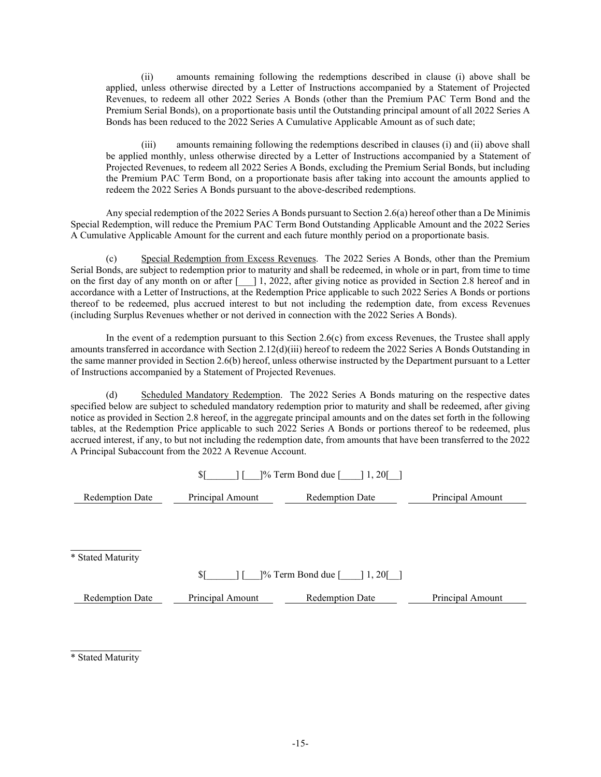(ii) amounts remaining following the redemptions described in clause (i) above shall be applied, unless otherwise directed by a Letter of Instructions accompanied by a Statement of Projected Revenues, to redeem all other 2022 Series A Bonds (other than the Premium PAC Term Bond and the Premium Serial Bonds), on a proportionate basis until the Outstanding principal amount of all 2022 Series A Bonds has been reduced to the 2022 Series A Cumulative Applicable Amount as of such date;

(iii) amounts remaining following the redemptions described in clauses (i) and (ii) above shall be applied monthly, unless otherwise directed by a Letter of Instructions accompanied by a Statement of Projected Revenues, to redeem all 2022 Series A Bonds, excluding the Premium Serial Bonds, but including the Premium PAC Term Bond, on a proportionate basis after taking into account the amounts applied to redeem the 2022 Series A Bonds pursuant to the above-described redemptions.

Any special redemption of the 2022 Series A Bonds pursuant to Section 2.6(a) hereof other than a De Minimis Special Redemption, will reduce the Premium PAC Term Bond Outstanding Applicable Amount and the 2022 Series A Cumulative Applicable Amount for the current and each future monthly period on a proportionate basis.

(c) Special Redemption from Excess Revenues. The 2022 Series A Bonds, other than the Premium Serial Bonds, are subject to redemption prior to maturity and shall be redeemed, in whole or in part, from time to time on the first day of any month on or after [2022, after giving notice as provided in Section 2.8 hereof and in accordance with a Letter of Instructions, at the Redemption Price applicable to such 2022 Series A Bonds or portions thereof to be redeemed, plus accrued interest to but not including the redemption date, from excess Revenues (including Surplus Revenues whether or not derived in connection with the 2022 Series A Bonds).

In the event of a redemption pursuant to this Section  $2.6(c)$  from excess Revenues, the Trustee shall apply amounts transferred in accordance with Section 2.12(d)(iii) hereof to redeem the 2022 Series A Bonds Outstanding in the same manner provided in Section 2.6(b) hereof, unless otherwise instructed by the Department pursuant to a Letter of Instructions accompanied by a Statement of Projected Revenues.

(d) Scheduled Mandatory Redemption. The 2022 Series A Bonds maturing on the respective dates specified below are subject to scheduled mandatory redemption prior to maturity and shall be redeemed, after giving notice as provided in Section 2.8 hereof, in the aggregate principal amounts and on the dates set forth in the following tables, at the Redemption Price applicable to such 2022 Series A Bonds or portions thereof to be redeemed, plus accrued interest, if any, to but not including the redemption date, from amounts that have been transferred to the 2022 A Principal Subaccount from the 2022 A Revenue Account.

| $\frac{1}{6}$ Term Bond due $\begin{bmatrix} 1 & 20 \end{bmatrix}$ |                  |                        |                  |  |  |  |
|--------------------------------------------------------------------|------------------|------------------------|------------------|--|--|--|
| <b>Redemption Date</b>                                             | Principal Amount | <b>Redemption Date</b> | Principal Amount |  |  |  |
|                                                                    |                  |                        |                  |  |  |  |

l \* Stated Maturity

 $\{\$$ [  $\]$   $\%$  Term Bond due [  $\]$  1, 20[]

Redemption Date Principal Amount Redemption Date Principal Amount

l \* Stated Maturity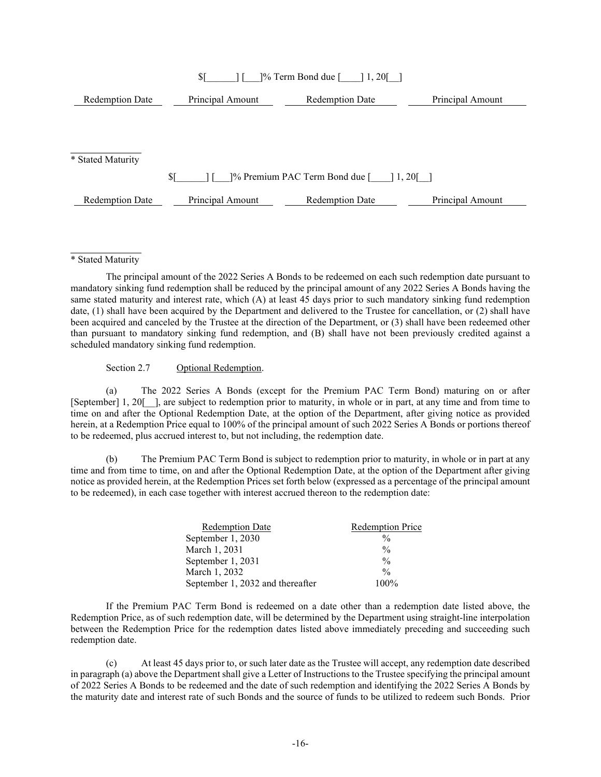| \$1<br>1% Term Bond due [<br>$1,20$ [ |                  |                                            |                             |  |  |  |  |
|---------------------------------------|------------------|--------------------------------------------|-----------------------------|--|--|--|--|
| <b>Redemption Date</b>                | Principal Amount | <b>Redemption Date</b><br>Principal Amount |                             |  |  |  |  |
|                                       |                  |                                            |                             |  |  |  |  |
|                                       |                  |                                            |                             |  |  |  |  |
| * Stated Maturity                     |                  |                                            |                             |  |  |  |  |
|                                       | \$ſ              | 1% Premium PAC Term Bond due [             | $\vert 1, 20 \vert$ $\vert$ |  |  |  |  |
|                                       |                  |                                            |                             |  |  |  |  |
| <b>Redemption Date</b>                | Principal Amount | <b>Redemption Date</b>                     | Principal Amount            |  |  |  |  |

l \* Stated Maturity

The principal amount of the 2022 Series A Bonds to be redeemed on each such redemption date pursuant to mandatory sinking fund redemption shall be reduced by the principal amount of any 2022 Series A Bonds having the same stated maturity and interest rate, which (A) at least 45 days prior to such mandatory sinking fund redemption date, (1) shall have been acquired by the Department and delivered to the Trustee for cancellation, or (2) shall have been acquired and canceled by the Trustee at the direction of the Department, or (3) shall have been redeemed other than pursuant to mandatory sinking fund redemption, and (B) shall have not been previously credited against a scheduled mandatory sinking fund redemption.

Section 2.7 Optional Redemption.

<span id="page-16-0"></span>(a) The 2022 Series A Bonds (except for the Premium PAC Term Bond) maturing on or after [September] 1, 20[ ], are subject to redemption prior to maturity, in whole or in part, at any time and from time to time on and after the Optional Redemption Date, at the option of the Department, after giving notice as provided herein, at a Redemption Price equal to 100% of the principal amount of such 2022 Series A Bonds or portions thereof to be redeemed, plus accrued interest to, but not including, the redemption date.

(b) The Premium PAC Term Bond is subject to redemption prior to maturity, in whole or in part at any time and from time to time, on and after the Optional Redemption Date, at the option of the Department after giving notice as provided herein, at the Redemption Prices set forth below (expressed as a percentage of the principal amount to be redeemed), in each case together with interest accrued thereon to the redemption date:

| <b>Redemption Date</b>           | <b>Redemption Price</b> |
|----------------------------------|-------------------------|
| September 1, 2030                | $\frac{0}{0}$           |
| March 1, 2031                    | $\frac{0}{0}$           |
| September 1, 2031                | $\frac{0}{0}$           |
| March 1, 2032                    | $\frac{0}{0}$           |
| September 1, 2032 and thereafter | $100\%$                 |

If the Premium PAC Term Bond is redeemed on a date other than a redemption date listed above, the Redemption Price, as of such redemption date, will be determined by the Department using straight-line interpolation between the Redemption Price for the redemption dates listed above immediately preceding and succeeding such redemption date.

(c) At least 45 days prior to, or such later date as the Trustee will accept, any redemption date described in paragraph (a) above the Department shall give a Letter of Instructions to the Trustee specifying the principal amount of 2022 Series A Bonds to be redeemed and the date of such redemption and identifying the 2022 Series A Bonds by the maturity date and interest rate of such Bonds and the source of funds to be utilized to redeem such Bonds. Prior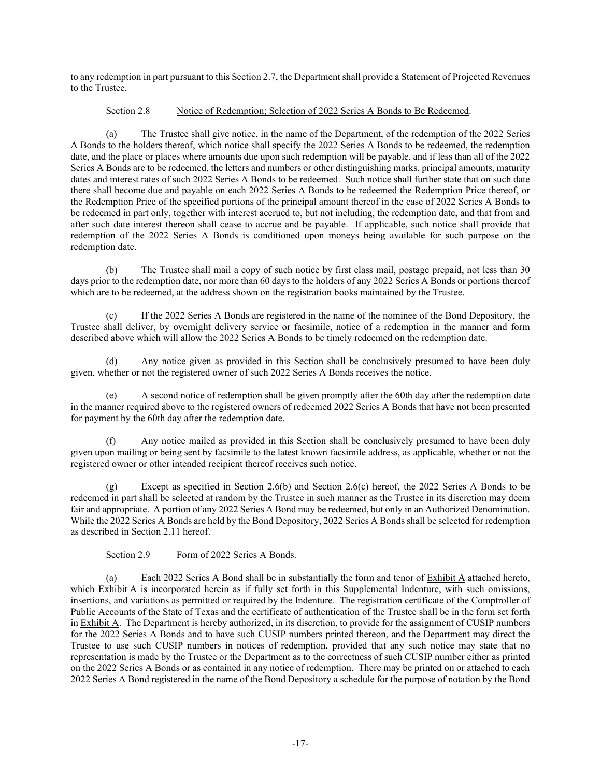to any redemption in part pursuant to thi[s Section 2.7,](#page-16-0) the Department shall provide a Statement of Projected Revenues to the Trustee.

### Section 2.8 Notice of Redemption; Selection of 2022 Series A Bonds to Be Redeemed.

(a) The Trustee shall give notice, in the name of the Department, of the redemption of the 2022 Series A Bonds to the holders thereof, which notice shall specify the 2022 Series A Bonds to be redeemed, the redemption date, and the place or places where amounts due upon such redemption will be payable, and if less than all of the 2022 Series A Bonds are to be redeemed, the letters and numbers or other distinguishing marks, principal amounts, maturity dates and interest rates of such 2022 Series A Bonds to be redeemed. Such notice shall further state that on such date there shall become due and payable on each 2022 Series A Bonds to be redeemed the Redemption Price thereof, or the Redemption Price of the specified portions of the principal amount thereof in the case of 2022 Series A Bonds to be redeemed in part only, together with interest accrued to, but not including, the redemption date, and that from and after such date interest thereon shall cease to accrue and be payable. If applicable, such notice shall provide that redemption of the 2022 Series A Bonds is conditioned upon moneys being available for such purpose on the redemption date.

(b) The Trustee shall mail a copy of such notice by first class mail, postage prepaid, not less than 30 days prior to the redemption date, nor more than 60 days to the holders of any 2022 Series A Bonds or portions thereof which are to be redeemed, at the address shown on the registration books maintained by the Trustee.

(c) If the 2022 Series A Bonds are registered in the name of the nominee of the Bond Depository, the Trustee shall deliver, by overnight delivery service or facsimile, notice of a redemption in the manner and form described above which will allow the 2022 Series A Bonds to be timely redeemed on the redemption date.

(d) Any notice given as provided in this Section shall be conclusively presumed to have been duly given, whether or not the registered owner of such 2022 Series A Bonds receives the notice.

(e) A second notice of redemption shall be given promptly after the 60th day after the redemption date in the manner required above to the registered owners of redeemed 2022 Series A Bonds that have not been presented for payment by the 60th day after the redemption date.

(f) Any notice mailed as provided in this Section shall be conclusively presumed to have been duly given upon mailing or being sent by facsimile to the latest known facsimile address, as applicable, whether or not the registered owner or other intended recipient thereof receives such notice.

(g) Except as specified in Section 2.6(b) and Section 2.6(c) hereof, the 2022 Series A Bonds to be redeemed in part shall be selected at random by the Trustee in such manner as the Trustee in its discretion may deem fair and appropriate. A portion of any 2022 Series A Bond may be redeemed, but only in an Authorized Denomination. While the 2022 Series A Bonds are held by the Bond Depository, 2022 Series A Bonds shall be selected for redemption as described in Section 2.11 hereof.

Section 2.9 Form of 2022 Series A Bonds.

(a) Each 2022 Series A Bond shall be in substantially the form and tenor of  $\frac{\text{Exhibit A}}{\text{attached hereto}}$ , which Exhibit A is incorporated herein as if fully set forth in this Supplemental Indenture, with such omissions, insertions, and variations as permitted or required by the Indenture. The registration certificate of the Comptroller of Public Accounts of the State of Texas and the certificate of authentication of the Trustee shall be in the form set forth in Exhibit A. The Department is hereby authorized, in its discretion, to provide for the assignment of CUSIP numbers for the 2022 Series A Bonds and to have such CUSIP numbers printed thereon, and the Department may direct the Trustee to use such CUSIP numbers in notices of redemption, provided that any such notice may state that no representation is made by the Trustee or the Department as to the correctness of such CUSIP number either as printed on the 2022 Series A Bonds or as contained in any notice of redemption. There may be printed on or attached to each 2022 Series A Bond registered in the name of the Bond Depository a schedule for the purpose of notation by the Bond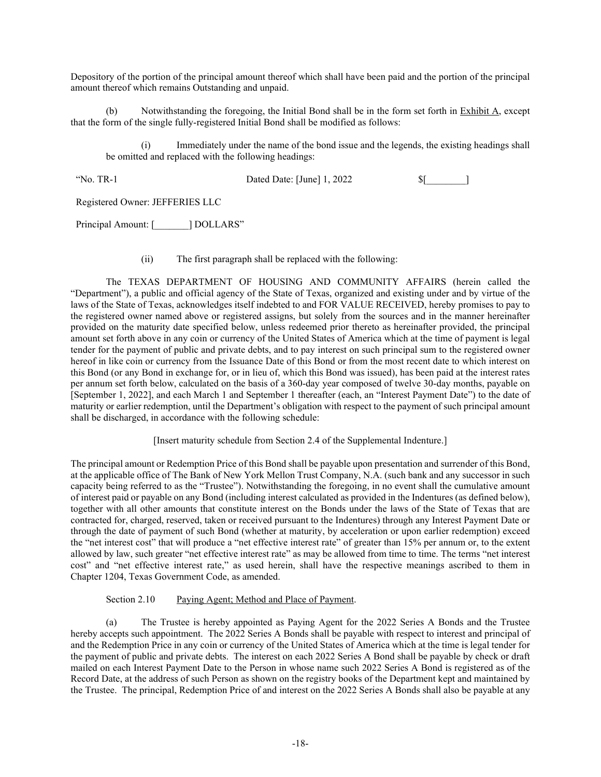Depository of the portion of the principal amount thereof which shall have been paid and the portion of the principal amount thereof which remains Outstanding and unpaid.

(b) Notwithstanding the foregoing, the Initial Bond shall be in the form set forth in Exhibit A, except that the form of the single fully-registered Initial Bond shall be modified as follows:

(i) Immediately under the name of the bond issue and the legends, the existing headings shall be omitted and replaced with the following headings:

"No. TR-1 Dated Date: [June] 1, 2022 \$[\_\_\_\_\_\_\_\_]

Registered Owner: JEFFERIES LLC

Principal Amount: [ \_\_\_\_\_\_\_ ] DOLLARS"

(ii) The first paragraph shall be replaced with the following:

The TEXAS DEPARTMENT OF HOUSING AND COMMUNITY AFFAIRS (herein called the "Department"), a public and official agency of the State of Texas, organized and existing under and by virtue of the laws of the State of Texas, acknowledges itself indebted to and FOR VALUE RECEIVED, hereby promises to pay to the registered owner named above or registered assigns, but solely from the sources and in the manner hereinafter provided on the maturity date specified below, unless redeemed prior thereto as hereinafter provided, the principal amount set forth above in any coin or currency of the United States of America which at the time of payment is legal tender for the payment of public and private debts, and to pay interest on such principal sum to the registered owner hereof in like coin or currency from the Issuance Date of this Bond or from the most recent date to which interest on this Bond (or any Bond in exchange for, or in lieu of, which this Bond was issued), has been paid at the interest rates per annum set forth below, calculated on the basis of a 360-day year composed of twelve 30-day months, payable on [September 1, 2022], and each March 1 and September 1 thereafter (each, an "Interest Payment Date") to the date of maturity or earlier redemption, until the Department's obligation with respect to the payment of such principal amount shall be discharged, in accordance with the following schedule:

[Insert maturity schedule from Section 2.4 of the Supplemental Indenture.]

The principal amount or Redemption Price of this Bond shall be payable upon presentation and surrender of this Bond, at the applicable office of The Bank of New York Mellon Trust Company, N.A. (such bank and any successor in such capacity being referred to as the "Trustee"). Notwithstanding the foregoing, in no event shall the cumulative amount of interest paid or payable on any Bond (including interest calculated as provided in the Indentures (as defined below), together with all other amounts that constitute interest on the Bonds under the laws of the State of Texas that are contracted for, charged, reserved, taken or received pursuant to the Indentures) through any Interest Payment Date or through the date of payment of such Bond (whether at maturity, by acceleration or upon earlier redemption) exceed the "net interest cost" that will produce a "net effective interest rate" of greater than 15% per annum or, to the extent allowed by law, such greater "net effective interest rate" as may be allowed from time to time. The terms "net interest cost" and "net effective interest rate," as used herein, shall have the respective meanings ascribed to them in Chapter 1204, Texas Government Code, as amended.

# Section 2.10 Paying Agent; Method and Place of Payment.

(a) The Trustee is hereby appointed as Paying Agent for the 2022 Series A Bonds and the Trustee hereby accepts such appointment. The 2022 Series A Bonds shall be payable with respect to interest and principal of and the Redemption Price in any coin or currency of the United States of America which at the time is legal tender for the payment of public and private debts. The interest on each 2022 Series A Bond shall be payable by check or draft mailed on each Interest Payment Date to the Person in whose name such 2022 Series A Bond is registered as of the Record Date, at the address of such Person as shown on the registry books of the Department kept and maintained by the Trustee. The principal, Redemption Price of and interest on the 2022 Series A Bonds shall also be payable at any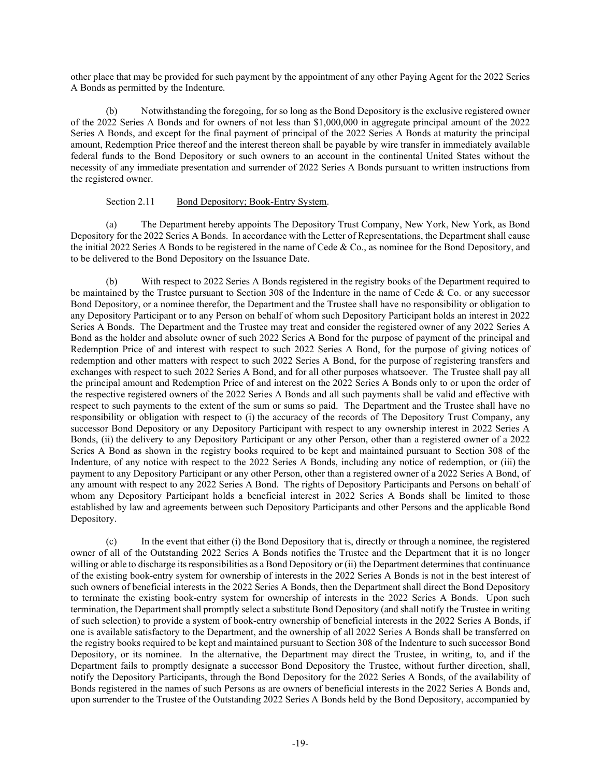other place that may be provided for such payment by the appointment of any other Paying Agent for the 2022 Series A Bonds as permitted by the Indenture.

(b) Notwithstanding the foregoing, for so long as the Bond Depository is the exclusive registered owner of the 2022 Series A Bonds and for owners of not less than \$1,000,000 in aggregate principal amount of the 2022 Series A Bonds, and except for the final payment of principal of the 2022 Series A Bonds at maturity the principal amount, Redemption Price thereof and the interest thereon shall be payable by wire transfer in immediately available federal funds to the Bond Depository or such owners to an account in the continental United States without the necessity of any immediate presentation and surrender of 2022 Series A Bonds pursuant to written instructions from the registered owner.

#### Section 2.11 Bond Depository; Book-Entry System.

<span id="page-19-0"></span>(a) The Department hereby appoints The Depository Trust Company, New York, New York, as Bond Depository for the 2022 Series A Bonds. In accordance with the Letter of Representations, the Department shall cause the initial 2022 Series A Bonds to be registered in the name of Cede & Co., as nominee for the Bond Depository, and to be delivered to the Bond Depository on the Issuance Date.

(b) With respect to 2022 Series A Bonds registered in the registry books of the Department required to be maintained by the Trustee pursuant to Section 308 of the Indenture in the name of Cede & Co. or any successor Bond Depository, or a nominee therefor, the Department and the Trustee shall have no responsibility or obligation to any Depository Participant or to any Person on behalf of whom such Depository Participant holds an interest in 2022 Series A Bonds. The Department and the Trustee may treat and consider the registered owner of any 2022 Series A Bond as the holder and absolute owner of such 2022 Series A Bond for the purpose of payment of the principal and Redemption Price of and interest with respect to such 2022 Series A Bond, for the purpose of giving notices of redemption and other matters with respect to such 2022 Series A Bond, for the purpose of registering transfers and exchanges with respect to such 2022 Series A Bond, and for all other purposes whatsoever. The Trustee shall pay all the principal amount and Redemption Price of and interest on the 2022 Series A Bonds only to or upon the order of the respective registered owners of the 2022 Series A Bonds and all such payments shall be valid and effective with respect to such payments to the extent of the sum or sums so paid. The Department and the Trustee shall have no responsibility or obligation with respect to (i) the accuracy of the records of The Depository Trust Company, any successor Bond Depository or any Depository Participant with respect to any ownership interest in 2022 Series A Bonds, (ii) the delivery to any Depository Participant or any other Person, other than a registered owner of a 2022 Series A Bond as shown in the registry books required to be kept and maintained pursuant to Section 308 of the Indenture, of any notice with respect to the 2022 Series A Bonds, including any notice of redemption, or (iii) the payment to any Depository Participant or any other Person, other than a registered owner of a 2022 Series A Bond, of any amount with respect to any 2022 Series A Bond. The rights of Depository Participants and Persons on behalf of whom any Depository Participant holds a beneficial interest in 2022 Series A Bonds shall be limited to those established by law and agreements between such Depository Participants and other Persons and the applicable Bond Depository.

(c) In the event that either (i) the Bond Depository that is, directly or through a nominee, the registered owner of all of the Outstanding 2022 Series A Bonds notifies the Trustee and the Department that it is no longer willing or able to discharge its responsibilities as a Bond Depository or (ii) the Department determines that continuance of the existing book-entry system for ownership of interests in the 2022 Series A Bonds is not in the best interest of such owners of beneficial interests in the 2022 Series A Bonds, then the Department shall direct the Bond Depository to terminate the existing book-entry system for ownership of interests in the 2022 Series A Bonds. Upon such termination, the Department shall promptly select a substitute Bond Depository (and shall notify the Trustee in writing of such selection) to provide a system of book-entry ownership of beneficial interests in the 2022 Series A Bonds, if one is available satisfactory to the Department, and the ownership of all 2022 Series A Bonds shall be transferred on the registry books required to be kept and maintained pursuant to Section 308 of the Indenture to such successor Bond Depository, or its nominee. In the alternative, the Department may direct the Trustee, in writing, to, and if the Department fails to promptly designate a successor Bond Depository the Trustee, without further direction, shall, notify the Depository Participants, through the Bond Depository for the 2022 Series A Bonds, of the availability of Bonds registered in the names of such Persons as are owners of beneficial interests in the 2022 Series A Bonds and, upon surrender to the Trustee of the Outstanding 2022 Series A Bonds held by the Bond Depository, accompanied by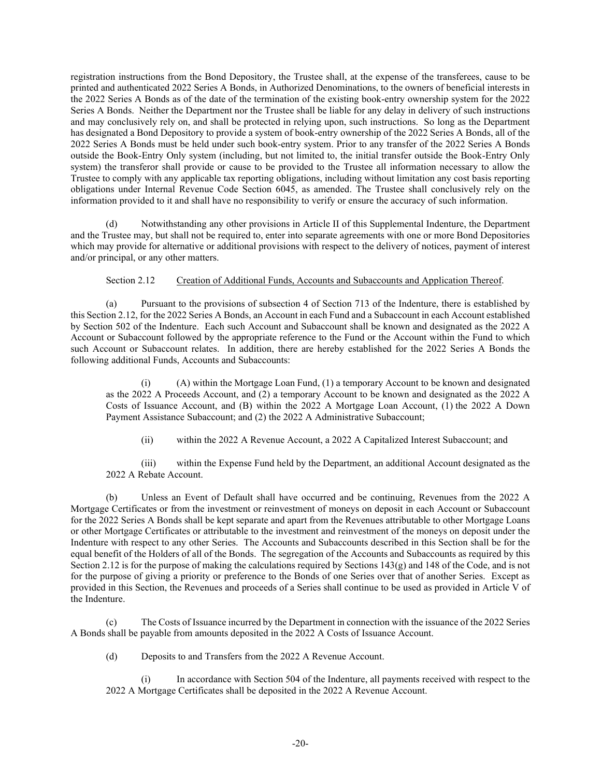registration instructions from the Bond Depository, the Trustee shall, at the expense of the transferees, cause to be printed and authenticated 2022 Series A Bonds, in Authorized Denominations, to the owners of beneficial interests in the 2022 Series A Bonds as of the date of the termination of the existing book-entry ownership system for the 2022 Series A Bonds. Neither the Department nor the Trustee shall be liable for any delay in delivery of such instructions and may conclusively rely on, and shall be protected in relying upon, such instructions. So long as the Department has designated a Bond Depository to provide a system of book-entry ownership of the 2022 Series A Bonds, all of the 2022 Series A Bonds must be held under such book-entry system. Prior to any transfer of the 2022 Series A Bonds outside the Book-Entry Only system (including, but not limited to, the initial transfer outside the Book-Entry Only system) the transferor shall provide or cause to be provided to the Trustee all information necessary to allow the Trustee to comply with any applicable tax reporting obligations, including without limitation any cost basis reporting obligations under Internal Revenue Code Section 6045, as amended. The Trustee shall conclusively rely on the information provided to it and shall have no responsibility to verify or ensure the accuracy of such information.

Notwithstanding any other provisions in [Article II](#page-13-0) of this Supplemental Indenture, the Department and the Trustee may, but shall not be required to, enter into separate agreements with one or more Bond Depositories which may provide for alternative or additional provisions with respect to the delivery of notices, payment of interest and/or principal, or any other matters.

## Section 2.12 Creation of Additional Funds, Accounts and Subaccounts and Application Thereof.

<span id="page-20-1"></span><span id="page-20-0"></span>(a) Pursuant to the provisions of subsection 4 of Section 713 of the Indenture, there is established by thi[s Section 2.12,](#page-20-0) for the 2022 Series A Bonds, an Account in each Fund and a Subaccount in each Account established by Section 502 of the Indenture. Each such Account and Subaccount shall be known and designated as the 2022 A Account or Subaccount followed by the appropriate reference to the Fund or the Account within the Fund to which such Account or Subaccount relates. In addition, there are hereby established for the 2022 Series A Bonds the following additional Funds, Accounts and Subaccounts:

(i) (A) within the Mortgage Loan Fund, (1) a temporary Account to be known and designated as the 2022 A Proceeds Account, and (2) a temporary Account to be known and designated as the 2022 A Costs of Issuance Account, and (B) within the 2022 A Mortgage Loan Account, (1) the 2022 A Down Payment Assistance Subaccount; and (2) the 2022 A Administrative Subaccount;

(ii) within the 2022 A Revenue Account, a 2022 A Capitalized Interest Subaccount; and

(iii) within the Expense Fund held by the Department, an additional Account designated as the 2022 A Rebate Account.

(b) Unless an Event of Default shall have occurred and be continuing, Revenues from the 2022 A Mortgage Certificates or from the investment or reinvestment of moneys on deposit in each Account or Subaccount for the 2022 Series A Bonds shall be kept separate and apart from the Revenues attributable to other Mortgage Loans or other Mortgage Certificates or attributable to the investment and reinvestment of the moneys on deposit under the Indenture with respect to any other Series. The Accounts and Subaccounts described in this Section shall be for the equal benefit of the Holders of all of the Bonds. The segregation of the Accounts and Subaccounts as required by this [Section 2.12](#page-20-0) is for the purpose of making the calculations required by Sections 143(g) and 148 of the Code, and is not for the purpose of giving a priority or preference to the Bonds of one Series over that of another Series. Except as provided in this Section, the Revenues and proceeds of a Series shall continue to be used as provided in Article V of the Indenture.

(c) The Costs of Issuance incurred by the Department in connection with the issuance of the 2022 Series A Bonds shall be payable from amounts deposited in the 2022 A Costs of Issuance Account.

(d) Deposits to and Transfers from the 2022 A Revenue Account.

In accordance with Section 504 of the Indenture, all payments received with respect to the 2022 A Mortgage Certificates shall be deposited in the 2022 A Revenue Account.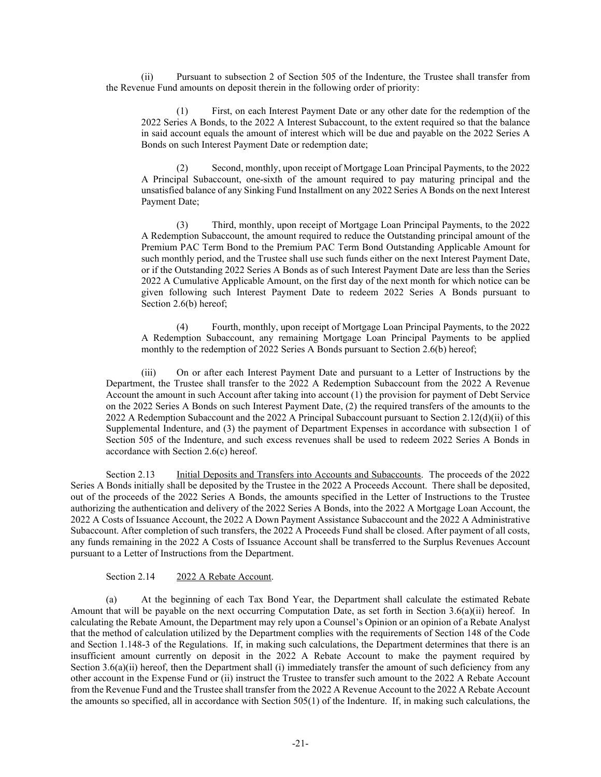(ii) Pursuant to subsection 2 of Section 505 of the Indenture, the Trustee shall transfer from the Revenue Fund amounts on deposit therein in the following order of priority:

(1) First, on each Interest Payment Date or any other date for the redemption of the 2022 Series A Bonds, to the 2022 A Interest Subaccount, to the extent required so that the balance in said account equals the amount of interest which will be due and payable on the 2022 Series A Bonds on such Interest Payment Date or redemption date;

(2) Second, monthly, upon receipt of Mortgage Loan Principal Payments, to the 2022 A Principal Subaccount, one-sixth of the amount required to pay maturing principal and the unsatisfied balance of any Sinking Fund Installment on any 2022 Series A Bonds on the next Interest Payment Date;

(3) Third, monthly, upon receipt of Mortgage Loan Principal Payments, to the 2022 A Redemption Subaccount, the amount required to reduce the Outstanding principal amount of the Premium PAC Term Bond to the Premium PAC Term Bond Outstanding Applicable Amount for such monthly period, and the Trustee shall use such funds either on the next Interest Payment Date, or if the Outstanding 2022 Series A Bonds as of such Interest Payment Date are less than the Series 2022 A Cumulative Applicable Amount, on the first day of the next month for which notice can be given following such Interest Payment Date to redeem 2022 Series A Bonds pursuant to Section 2.6(b) hereof;

(4) Fourth, monthly, upon receipt of Mortgage Loan Principal Payments, to the 2022 A Redemption Subaccount, any remaining Mortgage Loan Principal Payments to be applied monthly to the redemption of 2022 Series A Bonds pursuant to Section 2.6(b) hereof;

(iii) On or after each Interest Payment Date and pursuant to a Letter of Instructions by the Department, the Trustee shall transfer to the 2022 A Redemption Subaccount from the 2022 A Revenue Account the amount in such Account after taking into account (1) the provision for payment of Debt Service on the 2022 Series A Bonds on such Interest Payment Date, (2) the required transfers of the amounts to the 2022 A Redemption Subaccount and the 2022 A Principal Subaccount pursuant to Section 2.12(d)(ii) of this Supplemental Indenture, and (3) the payment of Department Expenses in accordance with subsection 1 of Section 505 of the Indenture, and such excess revenues shall be used to redeem 2022 Series A Bonds in accordance with Section 2.6(c) hereof.

Section 2.13 Initial Deposits and Transfers into Accounts and Subaccounts. The proceeds of the 2022 Series A Bonds initially shall be deposited by the Trustee in the 2022 A Proceeds Account. There shall be deposited, out of the proceeds of the 2022 Series A Bonds, the amounts specified in the Letter of Instructions to the Trustee authorizing the authentication and delivery of the 2022 Series A Bonds, into the 2022 A Mortgage Loan Account, the 2022 A Costs of Issuance Account, the 2022 A Down Payment Assistance Subaccount and the 2022 A Administrative Subaccount. After completion of such transfers, the 2022 A Proceeds Fund shall be closed. After payment of all costs, any funds remaining in the 2022 A Costs of Issuance Account shall be transferred to the Surplus Revenues Account pursuant to a Letter of Instructions from the Department.

Section 2.14 2022 A Rebate Account.

<span id="page-21-0"></span>(a) At the beginning of each Tax Bond Year, the Department shall calculate the estimated Rebate Amount that will be payable on the next occurring Computation Date, as set forth in [Section 3.6\(a\)\(ii\)](#page-27-0) hereof. In calculating the Rebate Amount, the Department may rely upon a Counsel's Opinion or an opinion of a Rebate Analyst that the method of calculation utilized by the Department complies with the requirements of Section 148 of the Code and Section 1.148-3 of the Regulations. If, in making such calculations, the Department determines that there is an insufficient amount currently on deposit in the 2022 A Rebate Account to make the payment required by Section [3.6\(a\)\(ii\)](#page-27-0) hereof, then the Department shall (i) immediately transfer the amount of such deficiency from any other account in the Expense Fund or (ii) instruct the Trustee to transfer such amount to the 2022 A Rebate Account from the Revenue Fund and the Trustee shall transfer from the 2022 A Revenue Account to the 2022 A Rebate Account the amounts so specified, all in accordance with Section 505(1) of the Indenture. If, in making such calculations, the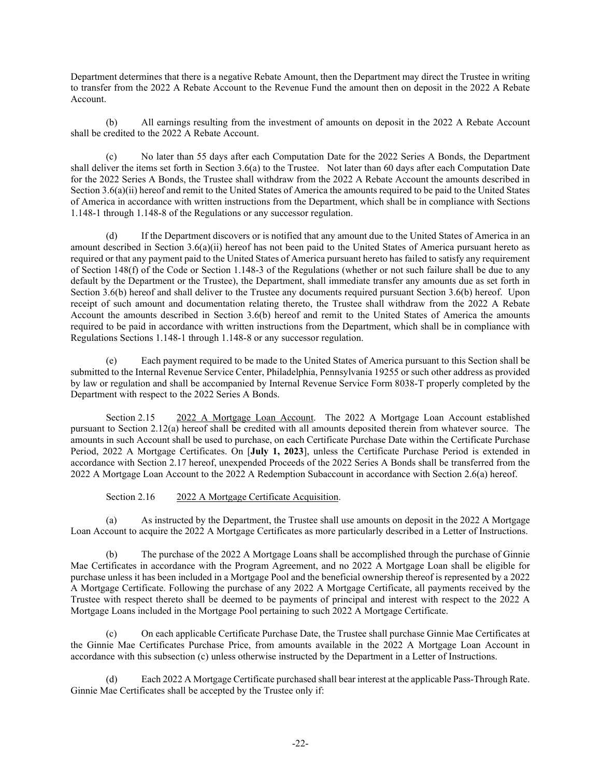Department determines that there is a negative Rebate Amount, then the Department may direct the Trustee in writing to transfer from the 2022 A Rebate Account to the Revenue Fund the amount then on deposit in the 2022 A Rebate Account.

(b) All earnings resulting from the investment of amounts on deposit in the 2022 A Rebate Account shall be credited to the 2022 A Rebate Account.

(c) No later than 55 days after each Computation Date for the 2022 Series A Bonds, the Department shall deliver the items set forth in Section 3.6(a) to the Trustee. Not later than 60 days after each Computation Date for the 2022 Series A Bonds, the Trustee shall withdraw from the 2022 A Rebate Account the amounts described in [Section 3.6\(a\)\(ii\)](#page-27-0) hereof and remit to the United States of America the amounts required to be paid to the United States of America in accordance with written instructions from the Department, which shall be in compliance with Sections 1.148-1 through 1.148-8 of the Regulations or any successor regulation.

(d) If the Department discovers or is notified that any amount due to the United States of America in an amount described in [Section 3.6\(a\)\(ii\)](#page-27-0) hereof has not been paid to the United States of America pursuant hereto as required or that any payment paid to the United States of America pursuant hereto has failed to satisfy any requirement of Section 148(f) of the Code or Section 1.148-3 of the Regulations (whether or not such failure shall be due to any default by the Department or the Trustee), the Department, shall immediate transfer any amounts due as set forth in Section 3.6(b) hereof and shall deliver to the Trustee any documents required pursuant Section 3.6(b) hereof. Upon receipt of such amount and documentation relating thereto, the Trustee shall withdraw from the 2022 A Rebate Account the amounts described in Section 3.6(b) hereof and remit to the United States of America the amounts required to be paid in accordance with written instructions from the Department, which shall be in compliance with Regulations Sections 1.148-1 through 1.148-8 or any successor regulation.

(e) Each payment required to be made to the United States of America pursuant to this Section shall be submitted to the Internal Revenue Service Center, Philadelphia, Pennsylvania 19255 or such other address as provided by law or regulation and shall be accompanied by Internal Revenue Service Form 8038-T properly completed by the Department with respect to the 2022 Series A Bonds.

Section 2.15 2022 A Mortgage Loan Account. The 2022 A Mortgage Loan Account established pursuant to [Section 2.12\(a\)](#page-20-1) hereof shall be credited with all amounts deposited therein from whatever source. The amounts in such Account shall be used to purchase, on each Certificate Purchase Date within the Certificate Purchase Period, 2022 A Mortgage Certificates. On [**July 1, 2023**], unless the Certificate Purchase Period is extended in accordance with Section 2.17 hereof, unexpended Proceeds of the 2022 Series A Bonds shall be transferred from the 2022 A Mortgage Loan Account to the 2022 A Redemption Subaccount in accordance with Section 2.6(a) hereof.

Section 2.16 2022 A Mortgage Certificate Acquisition.

<span id="page-22-0"></span>(a) As instructed by the Department, the Trustee shall use amounts on deposit in the 2022 A Mortgage Loan Account to acquire the 2022 A Mortgage Certificates as more particularly described in a Letter of Instructions.

(b) The purchase of the 2022 A Mortgage Loans shall be accomplished through the purchase of Ginnie Mae Certificates in accordance with the Program Agreement, and no 2022 A Mortgage Loan shall be eligible for purchase unless it has been included in a Mortgage Pool and the beneficial ownership thereof is represented by a 2022 A Mortgage Certificate. Following the purchase of any 2022 A Mortgage Certificate, all payments received by the Trustee with respect thereto shall be deemed to be payments of principal and interest with respect to the 2022 A Mortgage Loans included in the Mortgage Pool pertaining to such 2022 A Mortgage Certificate.

(c) On each applicable Certificate Purchase Date, the Trustee shall purchase Ginnie Mae Certificates at the Ginnie Mae Certificates Purchase Price, from amounts available in the 2022 A Mortgage Loan Account in accordance with this subsection (c) unless otherwise instructed by the Department in a Letter of Instructions.

(d) Each 2022 A Mortgage Certificate purchased shall bear interest at the applicable Pass-Through Rate. Ginnie Mae Certificates shall be accepted by the Trustee only if: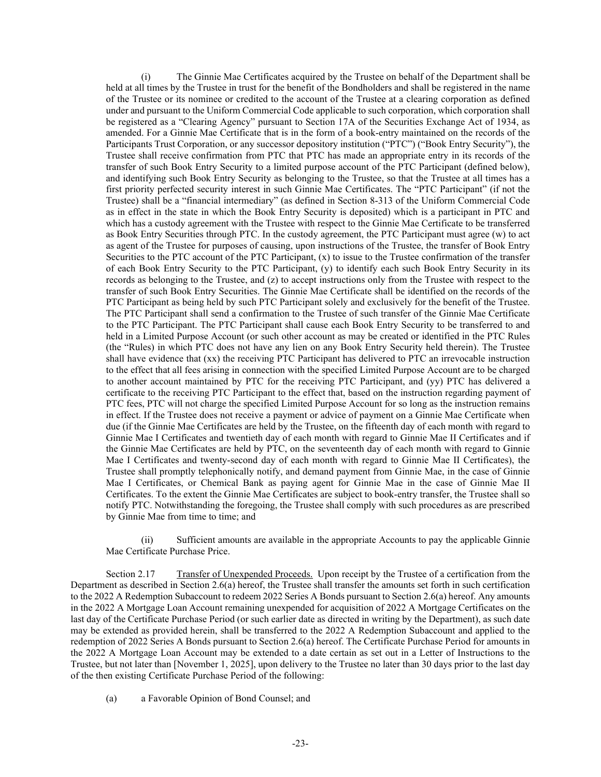(i) The Ginnie Mae Certificates acquired by the Trustee on behalf of the Department shall be held at all times by the Trustee in trust for the benefit of the Bondholders and shall be registered in the name of the Trustee or its nominee or credited to the account of the Trustee at a clearing corporation as defined under and pursuant to the Uniform Commercial Code applicable to such corporation, which corporation shall be registered as a "Clearing Agency" pursuant to Section 17A of the Securities Exchange Act of 1934, as amended. For a Ginnie Mae Certificate that is in the form of a book-entry maintained on the records of the Participants Trust Corporation, or any successor depository institution ("PTC") ("Book Entry Security"), the Trustee shall receive confirmation from PTC that PTC has made an appropriate entry in its records of the transfer of such Book Entry Security to a limited purpose account of the PTC Participant (defined below), and identifying such Book Entry Security as belonging to the Trustee, so that the Trustee at all times has a first priority perfected security interest in such Ginnie Mae Certificates. The "PTC Participant" (if not the Trustee) shall be a "financial intermediary" (as defined in Section 8-313 of the Uniform Commercial Code as in effect in the state in which the Book Entry Security is deposited) which is a participant in PTC and which has a custody agreement with the Trustee with respect to the Ginnie Mae Certificate to be transferred as Book Entry Securities through PTC. In the custody agreement, the PTC Participant must agree (w) to act as agent of the Trustee for purposes of causing, upon instructions of the Trustee, the transfer of Book Entry Securities to the PTC account of the PTC Participant, (x) to issue to the Trustee confirmation of the transfer of each Book Entry Security to the PTC Participant, (y) to identify each such Book Entry Security in its records as belonging to the Trustee, and (z) to accept instructions only from the Trustee with respect to the transfer of such Book Entry Securities. The Ginnie Mae Certificate shall be identified on the records of the PTC Participant as being held by such PTC Participant solely and exclusively for the benefit of the Trustee. The PTC Participant shall send a confirmation to the Trustee of such transfer of the Ginnie Mae Certificate to the PTC Participant. The PTC Participant shall cause each Book Entry Security to be transferred to and held in a Limited Purpose Account (or such other account as may be created or identified in the PTC Rules (the "Rules) in which PTC does not have any lien on any Book Entry Security held therein). The Trustee shall have evidence that (xx) the receiving PTC Participant has delivered to PTC an irrevocable instruction to the effect that all fees arising in connection with the specified Limited Purpose Account are to be charged to another account maintained by PTC for the receiving PTC Participant, and (yy) PTC has delivered a certificate to the receiving PTC Participant to the effect that, based on the instruction regarding payment of PTC fees, PTC will not charge the specified Limited Purpose Account for so long as the instruction remains in effect. If the Trustee does not receive a payment or advice of payment on a Ginnie Mae Certificate when due (if the Ginnie Mae Certificates are held by the Trustee, on the fifteenth day of each month with regard to Ginnie Mae I Certificates and twentieth day of each month with regard to Ginnie Mae II Certificates and if the Ginnie Mae Certificates are held by PTC, on the seventeenth day of each month with regard to Ginnie Mae I Certificates and twenty-second day of each month with regard to Ginnie Mae II Certificates), the Trustee shall promptly telephonically notify, and demand payment from Ginnie Mae, in the case of Ginnie Mae I Certificates, or Chemical Bank as paying agent for Ginnie Mae in the case of Ginnie Mae II Certificates. To the extent the Ginnie Mae Certificates are subject to book-entry transfer, the Trustee shall so notify PTC. Notwithstanding the foregoing, the Trustee shall comply with such procedures as are prescribed by Ginnie Mae from time to time; and

(ii) Sufficient amounts are available in the appropriate Accounts to pay the applicable Ginnie Mae Certificate Purchase Price.

Section 2.17 Transfer of Unexpended Proceeds. Upon receipt by the Trustee of a certification from the Department as described in Section 2.6(a) hereof, the Trustee shall transfer the amounts set forth in such certification to the 2022 A Redemption Subaccount to redeem 2022 Series A Bonds pursuant to Section 2.6(a) hereof. Any amounts in the 2022 A Mortgage Loan Account remaining unexpended for acquisition of 2022 A Mortgage Certificates on the last day of the Certificate Purchase Period (or such earlier date as directed in writing by the Department), as such date may be extended as provided herein, shall be transferred to the 2022 A Redemption Subaccount and applied to the redemption of 2022 Series A Bonds pursuant to Section 2.6(a) hereof. The Certificate Purchase Period for amounts in the 2022 A Mortgage Loan Account may be extended to a date certain as set out in a Letter of Instructions to the Trustee, but not later than [November 1, 2025], upon delivery to the Trustee no later than 30 days prior to the last day of the then existing Certificate Purchase Period of the following:

(a) a Favorable Opinion of Bond Counsel; and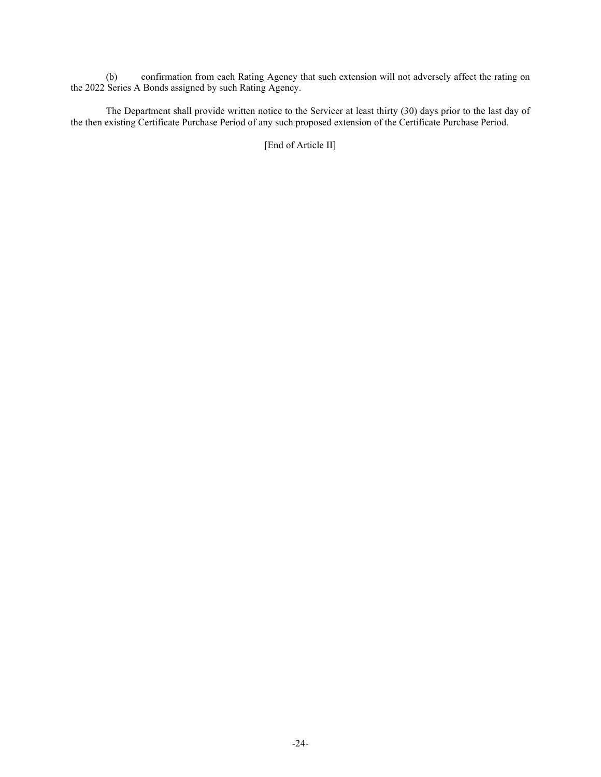(b) confirmation from each Rating Agency that such extension will not adversely affect the rating on the 2022 Series A Bonds assigned by such Rating Agency.

The Department shall provide written notice to the Servicer at least thirty (30) days prior to the last day of the then existing Certificate Purchase Period of any such proposed extension of the Certificate Purchase Period.

[End of Article II]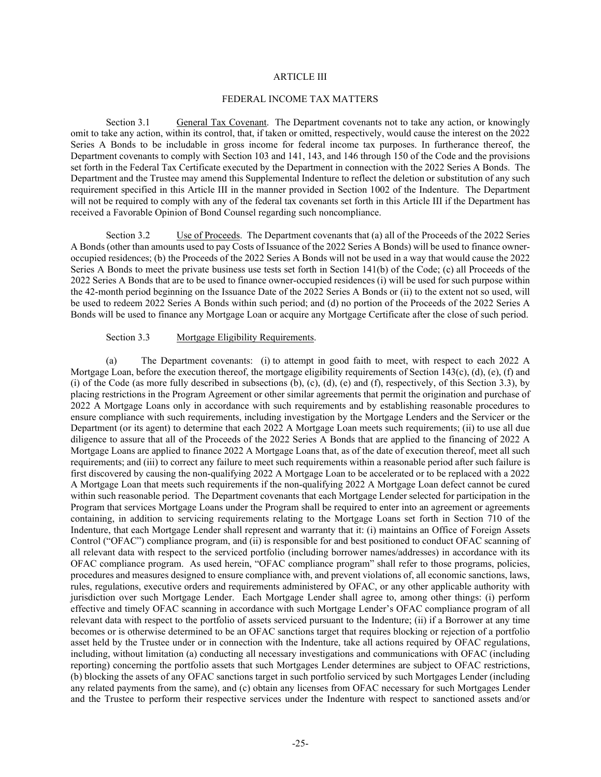#### ARTICLE III

#### FEDERAL INCOME TAX MATTERS

<span id="page-25-0"></span>Section 3.1 General Tax Covenant. The Department covenants not to take any action, or knowingly omit to take any action, within its control, that, if taken or omitted, respectively, would cause the interest on the 2022 Series A Bonds to be includable in gross income for federal income tax purposes. In furtherance thereof, the Department covenants to comply with Section 103 and 141, 143, and 146 through 150 of the Code and the provisions set forth in the Federal Tax Certificate executed by the Department in connection with the 2022 Series A Bonds. The Department and the Trustee may amend this Supplemental Indenture to reflect the deletion or substitution of any such requirement specified in this [Article III](#page-25-0) in the manner provided in Section 1002 of the Indenture. The Department will not be required to comply with any of the federal tax covenants set forth in this Article III if the Department has received a Favorable Opinion of Bond Counsel regarding such noncompliance.

Section 3.2 Use of Proceeds. The Department covenants that (a) all of the Proceeds of the 2022 Series A Bonds (other than amounts used to pay Costs of Issuance of the 2022 Series A Bonds) will be used to finance owneroccupied residences; (b) the Proceeds of the 2022 Series A Bonds will not be used in a way that would cause the 2022 Series A Bonds to meet the private business use tests set forth in Section 141(b) of the Code; (c) all Proceeds of the 2022 Series A Bonds that are to be used to finance owner-occupied residences (i) will be used for such purpose within the 42-month period beginning on the Issuance Date of the 2022 Series A Bonds or (ii) to the extent not so used, will be used to redeem 2022 Series A Bonds within such period; and (d) no portion of the Proceeds of the 2022 Series A Bonds will be used to finance any Mortgage Loan or acquire any Mortgage Certificate after the close of such period.

#### Section 3.3 Mortgage Eligibility Requirements.

<span id="page-25-1"></span>(a) The Department covenants: (i) to attempt in good faith to meet, with respect to each 2022 A Mortgage Loan, before the execution thereof, the mortgage eligibility requirements of Section 143(c), (d), (e), (f) and (i) of the Code (as more fully described in subsections  $(b)$ ,  $(c)$ ,  $(d)$ ,  $(e)$  and  $(f)$ , respectively, of this [Section 3.3\)](#page-25-1), by placing restrictions in the Program Agreement or other similar agreements that permit the origination and purchase of 2022 A Mortgage Loans only in accordance with such requirements and by establishing reasonable procedures to ensure compliance with such requirements, including investigation by the Mortgage Lenders and the Servicer or the Department (or its agent) to determine that each 2022 A Mortgage Loan meets such requirements; (ii) to use all due diligence to assure that all of the Proceeds of the 2022 Series A Bonds that are applied to the financing of 2022 A Mortgage Loans are applied to finance 2022 A Mortgage Loans that, as of the date of execution thereof, meet all such requirements; and (iii) to correct any failure to meet such requirements within a reasonable period after such failure is first discovered by causing the non-qualifying 2022 A Mortgage Loan to be accelerated or to be replaced with a 2022 A Mortgage Loan that meets such requirements if the non-qualifying 2022 A Mortgage Loan defect cannot be cured within such reasonable period. The Department covenants that each Mortgage Lender selected for participation in the Program that services Mortgage Loans under the Program shall be required to enter into an agreement or agreements containing, in addition to servicing requirements relating to the Mortgage Loans set forth in Section 710 of the Indenture, that each Mortgage Lender shall represent and warranty that it: (i) maintains an Office of Foreign Assets Control ("OFAC") compliance program, and (ii) is responsible for and best positioned to conduct OFAC scanning of all relevant data with respect to the serviced portfolio (including borrower names/addresses) in accordance with its OFAC compliance program. As used herein, "OFAC compliance program" shall refer to those programs, policies, procedures and measures designed to ensure compliance with, and prevent violations of, all economic sanctions, laws, rules, regulations, executive orders and requirements administered by OFAC, or any other applicable authority with jurisdiction over such Mortgage Lender. Each Mortgage Lender shall agree to, among other things: (i) perform effective and timely OFAC scanning in accordance with such Mortgage Lender's OFAC compliance program of all relevant data with respect to the portfolio of assets serviced pursuant to the Indenture; (ii) if a Borrower at any time becomes or is otherwise determined to be an OFAC sanctions target that requires blocking or rejection of a portfolio asset held by the Trustee under or in connection with the Indenture, take all actions required by OFAC regulations, including, without limitation (a) conducting all necessary investigations and communications with OFAC (including reporting) concerning the portfolio assets that such Mortgages Lender determines are subject to OFAC restrictions, (b) blocking the assets of any OFAC sanctions target in such portfolio serviced by such Mortgages Lender (including any related payments from the same), and (c) obtain any licenses from OFAC necessary for such Mortgages Lender and the Trustee to perform their respective services under the Indenture with respect to sanctioned assets and/or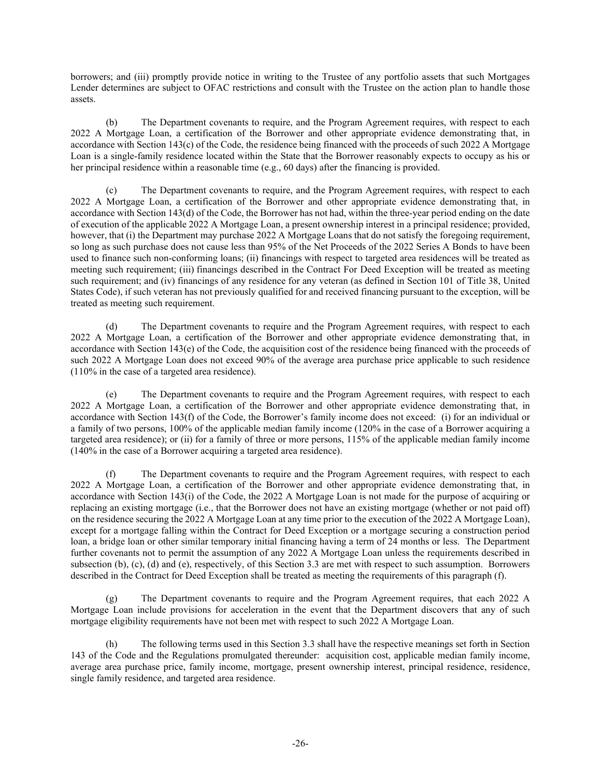borrowers; and (iii) promptly provide notice in writing to the Trustee of any portfolio assets that such Mortgages Lender determines are subject to OFAC restrictions and consult with the Trustee on the action plan to handle those assets.

(b) The Department covenants to require, and the Program Agreement requires, with respect to each 2022 A Mortgage Loan, a certification of the Borrower and other appropriate evidence demonstrating that, in accordance with Section 143(c) of the Code, the residence being financed with the proceeds of such 2022 A Mortgage Loan is a single-family residence located within the State that the Borrower reasonably expects to occupy as his or her principal residence within a reasonable time (e.g., 60 days) after the financing is provided.

(c) The Department covenants to require, and the Program Agreement requires, with respect to each 2022 A Mortgage Loan, a certification of the Borrower and other appropriate evidence demonstrating that, in accordance with Section 143(d) of the Code, the Borrower has not had, within the three-year period ending on the date of execution of the applicable 2022 A Mortgage Loan, a present ownership interest in a principal residence; provided, however, that (i) the Department may purchase 2022 A Mortgage Loans that do not satisfy the foregoing requirement, so long as such purchase does not cause less than 95% of the Net Proceeds of the 2022 Series A Bonds to have been used to finance such non-conforming loans; (ii) financings with respect to targeted area residences will be treated as meeting such requirement; (iii) financings described in the Contract For Deed Exception will be treated as meeting such requirement; and (iv) financings of any residence for any veteran (as defined in Section 101 of Title 38, United States Code), if such veteran has not previously qualified for and received financing pursuant to the exception, will be treated as meeting such requirement.

(d) The Department covenants to require and the Program Agreement requires, with respect to each 2022 A Mortgage Loan, a certification of the Borrower and other appropriate evidence demonstrating that, in accordance with Section 143(e) of the Code, the acquisition cost of the residence being financed with the proceeds of such 2022 A Mortgage Loan does not exceed 90% of the average area purchase price applicable to such residence (110% in the case of a targeted area residence).

(e) The Department covenants to require and the Program Agreement requires, with respect to each 2022 A Mortgage Loan, a certification of the Borrower and other appropriate evidence demonstrating that, in accordance with Section 143(f) of the Code, the Borrower's family income does not exceed: (i) for an individual or a family of two persons, 100% of the applicable median family income (120% in the case of a Borrower acquiring a targeted area residence); or (ii) for a family of three or more persons, 115% of the applicable median family income (140% in the case of a Borrower acquiring a targeted area residence).

(f) The Department covenants to require and the Program Agreement requires, with respect to each 2022 A Mortgage Loan, a certification of the Borrower and other appropriate evidence demonstrating that, in accordance with Section 143(i) of the Code, the 2022 A Mortgage Loan is not made for the purpose of acquiring or replacing an existing mortgage (i.e., that the Borrower does not have an existing mortgage (whether or not paid off) on the residence securing the 2022 A Mortgage Loan at any time prior to the execution of the 2022 A Mortgage Loan), except for a mortgage falling within the Contract for Deed Exception or a mortgage securing a construction period loan, a bridge loan or other similar temporary initial financing having a term of 24 months or less. The Department further covenants not to permit the assumption of any 2022 A Mortgage Loan unless the requirements described in subsection (b), (c), (d) and (e), respectively, of this [Section 3.3](#page-25-1) are met with respect to such assumption. Borrowers described in the Contract for Deed Exception shall be treated as meeting the requirements of this paragraph (f).

(g) The Department covenants to require and the Program Agreement requires, that each 2022 A Mortgage Loan include provisions for acceleration in the event that the Department discovers that any of such mortgage eligibility requirements have not been met with respect to such 2022 A Mortgage Loan.

(h) The following terms used in this [Section 3.3](#page-25-1) shall have the respective meanings set forth in Section 143 of the Code and the Regulations promulgated thereunder: acquisition cost, applicable median family income, average area purchase price, family income, mortgage, present ownership interest, principal residence, residence, single family residence, and targeted area residence.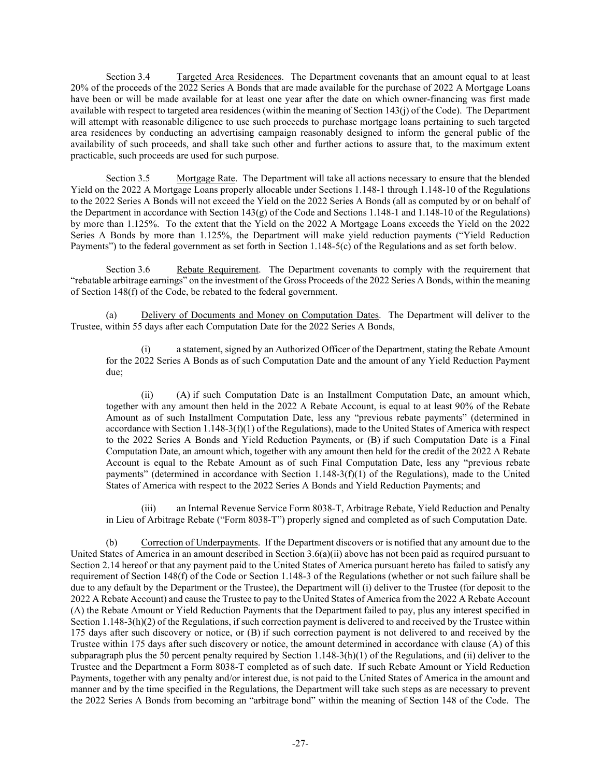Section 3.4 Targeted Area Residences. The Department covenants that an amount equal to at least 20% of the proceeds of the 2022 Series A Bonds that are made available for the purchase of 2022 A Mortgage Loans have been or will be made available for at least one year after the date on which owner-financing was first made available with respect to targeted area residences (within the meaning of Section 143(j) of the Code). The Department will attempt with reasonable diligence to use such proceeds to purchase mortgage loans pertaining to such targeted area residences by conducting an advertising campaign reasonably designed to inform the general public of the availability of such proceeds, and shall take such other and further actions to assure that, to the maximum extent practicable, such proceeds are used for such purpose.

Section 3.5 Mortgage Rate. The Department will take all actions necessary to ensure that the blended Yield on the 2022 A Mortgage Loans properly allocable under Sections 1.148-1 through 1.148-10 of the Regulations to the 2022 Series A Bonds will not exceed the Yield on the 2022 Series A Bonds (all as computed by or on behalf of the Department in accordance with Section 143(g) of the Code and Sections 1.148-1 and 1.148-10 of the Regulations) by more than 1.125%. To the extent that the Yield on the 2022 A Mortgage Loans exceeds the Yield on the 2022 Series A Bonds by more than 1.125%, the Department will make yield reduction payments ("Yield Reduction Payments") to the federal government as set forth in Section 1.148-5(c) of the Regulations and as set forth below.

<span id="page-27-1"></span>Section 3.6 Rebate Requirement. The Department covenants to comply with the requirement that "rebatable arbitrage earnings" on the investment of the Gross Proceeds of the 2022 Series A Bonds, within the meaning of Section 148(f) of the Code, be rebated to the federal government.

(a) Delivery of Documents and Money on Computation Dates. The Department will deliver to the Trustee, within 55 days after each Computation Date for the 2022 Series A Bonds,

a statement, signed by an Authorized Officer of the Department, stating the Rebate Amount for the 2022 Series A Bonds as of such Computation Date and the amount of any Yield Reduction Payment due;

<span id="page-27-0"></span>(ii) (A) if such Computation Date is an Installment Computation Date, an amount which, together with any amount then held in the 2022 A Rebate Account, is equal to at least 90% of the Rebate Amount as of such Installment Computation Date, less any "previous rebate payments" (determined in accordance with Section 1.148-3(f)(1) of the Regulations), made to the United States of America with respect to the 2022 Series A Bonds and Yield Reduction Payments, or (B) if such Computation Date is a Final Computation Date, an amount which, together with any amount then held for the credit of the 2022 A Rebate Account is equal to the Rebate Amount as of such Final Computation Date, less any "previous rebate payments" (determined in accordance with Section 1.148-3(f)(1) of the Regulations), made to the United States of America with respect to the 2022 Series A Bonds and Yield Reduction Payments; and

(iii) an Internal Revenue Service Form 8038-T, Arbitrage Rebate, Yield Reduction and Penalty in Lieu of Arbitrage Rebate ("Form 8038-T") properly signed and completed as of such Computation Date.

(b) Correction of Underpayments. If the Department discovers or is notified that any amount due to the United States of America in an amount described in Section  $3.6(a)(ii)$  above has not been paid as required pursuant to [Section 2.14](#page-21-0) hereof or that any payment paid to the United States of America pursuant hereto has failed to satisfy any requirement of Section 148(f) of the Code or Section 1.148-3 of the Regulations (whether or not such failure shall be due to any default by the Department or the Trustee), the Department will (i) deliver to the Trustee (for deposit to the 2022 A Rebate Account) and cause the Trustee to pay to the United States of America from the 2022 A Rebate Account (A) the Rebate Amount or Yield Reduction Payments that the Department failed to pay, plus any interest specified in Section  $1.148-3(h)(2)$  of the Regulations, if such correction payment is delivered to and received by the Trustee within 175 days after such discovery or notice, or (B) if such correction payment is not delivered to and received by the Trustee within 175 days after such discovery or notice, the amount determined in accordance with clause (A) of this subparagraph plus the 50 percent penalty required by Section  $1.148-3(h)(1)$  of the Regulations, and (ii) deliver to the Trustee and the Department a Form 8038-T completed as of such date. If such Rebate Amount or Yield Reduction Payments, together with any penalty and/or interest due, is not paid to the United States of America in the amount and manner and by the time specified in the Regulations, the Department will take such steps as are necessary to prevent the 2022 Series A Bonds from becoming an "arbitrage bond" within the meaning of Section 148 of the Code. The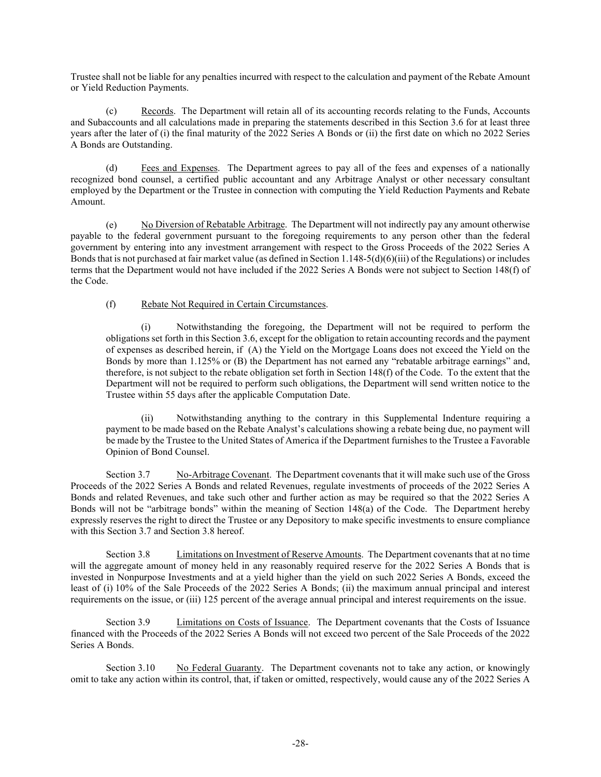Trustee shall not be liable for any penalties incurred with respect to the calculation and payment of the Rebate Amount or Yield Reduction Payments.

(c) Records. The Department will retain all of its accounting records relating to the Funds, Accounts and Subaccounts and all calculations made in preparing the statements described in this [Section 3.6](#page-27-1) for at least three years after the later of (i) the final maturity of the 2022 Series A Bonds or (ii) the first date on which no 2022 Series A Bonds are Outstanding.

(d) Fees and Expenses. The Department agrees to pay all of the fees and expenses of a nationally recognized bond counsel, a certified public accountant and any Arbitrage Analyst or other necessary consultant employed by the Department or the Trustee in connection with computing the Yield Reduction Payments and Rebate Amount.

(e) No Diversion of Rebatable Arbitrage. The Department will not indirectly pay any amount otherwise payable to the federal government pursuant to the foregoing requirements to any person other than the federal government by entering into any investment arrangement with respect to the Gross Proceeds of the 2022 Series A Bonds that is not purchased at fair market value (as defined in Section  $1.148-5(d)(6)(iii)$  of the Regulations) or includes terms that the Department would not have included if the 2022 Series A Bonds were not subject to Section 148(f) of the Code.

#### (f) Rebate Not Required in Certain Circumstances.

(i) Notwithstanding the foregoing, the Department will not be required to perform the obligations set forth in this Section 3.6, except for the obligation to retain accounting records and the payment of expenses as described herein, if (A) the Yield on the Mortgage Loans does not exceed the Yield on the Bonds by more than 1.125% or (B) the Department has not earned any "rebatable arbitrage earnings" and, therefore, is not subject to the rebate obligation set forth in Section 148(f) of the Code. To the extent that the Department will not be required to perform such obligations, the Department will send written notice to the Trustee within 55 days after the applicable Computation Date.

(ii) Notwithstanding anything to the contrary in this Supplemental Indenture requiring a payment to be made based on the Rebate Analyst's calculations showing a rebate being due, no payment will be made by the Trustee to the United States of America if the Department furnishes to the Trustee a Favorable Opinion of Bond Counsel.

<span id="page-28-0"></span>Section 3.7 No-Arbitrage Covenant. The Department covenants that it will make such use of the Gross Proceeds of the 2022 Series A Bonds and related Revenues, regulate investments of proceeds of the 2022 Series A Bonds and related Revenues, and take such other and further action as may be required so that the 2022 Series A Bonds will not be "arbitrage bonds" within the meaning of Section 148(a) of the Code. The Department hereby expressly reserves the right to direct the Trustee or any Depository to make specific investments to ensure compliance with this [Section 3.7](#page-28-0) an[d Section 3.8](#page-28-1) hereof.

<span id="page-28-1"></span>Section 3.8 Limitations on Investment of Reserve Amounts. The Department covenants that at no time will the aggregate amount of money held in any reasonably required reserve for the 2022 Series A Bonds that is invested in Nonpurpose Investments and at a yield higher than the yield on such 2022 Series A Bonds, exceed the least of (i) 10% of the Sale Proceeds of the 2022 Series A Bonds; (ii) the maximum annual principal and interest requirements on the issue, or (iii) 125 percent of the average annual principal and interest requirements on the issue.

Section 3.9 Limitations on Costs of Issuance. The Department covenants that the Costs of Issuance financed with the Proceeds of the 2022 Series A Bonds will not exceed two percent of the Sale Proceeds of the 2022 Series A Bonds.

Section 3.10 No Federal Guaranty. The Department covenants not to take any action, or knowingly omit to take any action within its control, that, if taken or omitted, respectively, would cause any of the 2022 Series A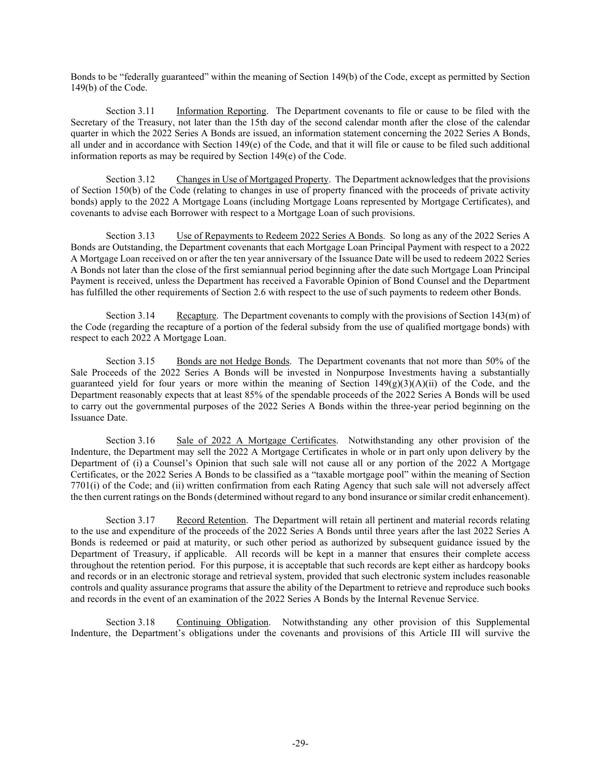Bonds to be "federally guaranteed" within the meaning of Section 149(b) of the Code, except as permitted by Section 149(b) of the Code.

Section 3.11 Information Reporting. The Department covenants to file or cause to be filed with the Secretary of the Treasury, not later than the 15th day of the second calendar month after the close of the calendar quarter in which the 2022 Series A Bonds are issued, an information statement concerning the 2022 Series A Bonds, all under and in accordance with Section 149(e) of the Code, and that it will file or cause to be filed such additional information reports as may be required by Section 149(e) of the Code.

Section 3.12 Changes in Use of Mortgaged Property. The Department acknowledges that the provisions of Section 150(b) of the Code (relating to changes in use of property financed with the proceeds of private activity bonds) apply to the 2022 A Mortgage Loans (including Mortgage Loans represented by Mortgage Certificates), and covenants to advise each Borrower with respect to a Mortgage Loan of such provisions.

Section 3.13 Use of Repayments to Redeem 2022 Series A Bonds. So long as any of the 2022 Series A Bonds are Outstanding, the Department covenants that each Mortgage Loan Principal Payment with respect to a 2022 A Mortgage Loan received on or after the ten year anniversary of the Issuance Date will be used to redeem 2022 Series A Bonds not later than the close of the first semiannual period beginning after the date such Mortgage Loan Principal Payment is received, unless the Department has received a Favorable Opinion of Bond Counsel and the Department has fulfilled the other requirements of [Section 2.6](#page-14-0) with respect to the use of such payments to redeem other Bonds.

Section 3.14 Recapture. The Department covenants to comply with the provisions of Section 143(m) of the Code (regarding the recapture of a portion of the federal subsidy from the use of qualified mortgage bonds) with respect to each 2022 A Mortgage Loan.

Section 3.15 Bonds are not Hedge Bonds. The Department covenants that not more than 50% of the Sale Proceeds of the 2022 Series A Bonds will be invested in Nonpurpose Investments having a substantially guaranteed yield for four years or more within the meaning of Section 149(g)(3)(A)(ii) of the Code, and the Department reasonably expects that at least 85% of the spendable proceeds of the 2022 Series A Bonds will be used to carry out the governmental purposes of the 2022 Series A Bonds within the three-year period beginning on the Issuance Date.

Section 3.16 Sale of 2022 A Mortgage Certificates. Notwithstanding any other provision of the Indenture, the Department may sell the 2022 A Mortgage Certificates in whole or in part only upon delivery by the Department of (i) a Counsel's Opinion that such sale will not cause all or any portion of the 2022 A Mortgage Certificates, or the 2022 Series A Bonds to be classified as a "taxable mortgage pool" within the meaning of Section 7701(i) of the Code; and (ii) written confirmation from each Rating Agency that such sale will not adversely affect the then current ratings on the Bonds (determined without regard to any bond insurance or similar credit enhancement).

Section 3.17 Record Retention. The Department will retain all pertinent and material records relating to the use and expenditure of the proceeds of the 2022 Series A Bonds until three years after the last 2022 Series A Bonds is redeemed or paid at maturity, or such other period as authorized by subsequent guidance issued by the Department of Treasury, if applicable. All records will be kept in a manner that ensures their complete access throughout the retention period. For this purpose, it is acceptable that such records are kept either as hardcopy books and records or in an electronic storage and retrieval system, provided that such electronic system includes reasonable controls and quality assurance programs that assure the ability of the Department to retrieve and reproduce such books and records in the event of an examination of the 2022 Series A Bonds by the Internal Revenue Service.

Section 3.18 Continuing Obligation. Notwithstanding any other provision of this Supplemental Indenture, the Department's obligations under the covenants and provisions of this [Article III](#page-25-0) will survive the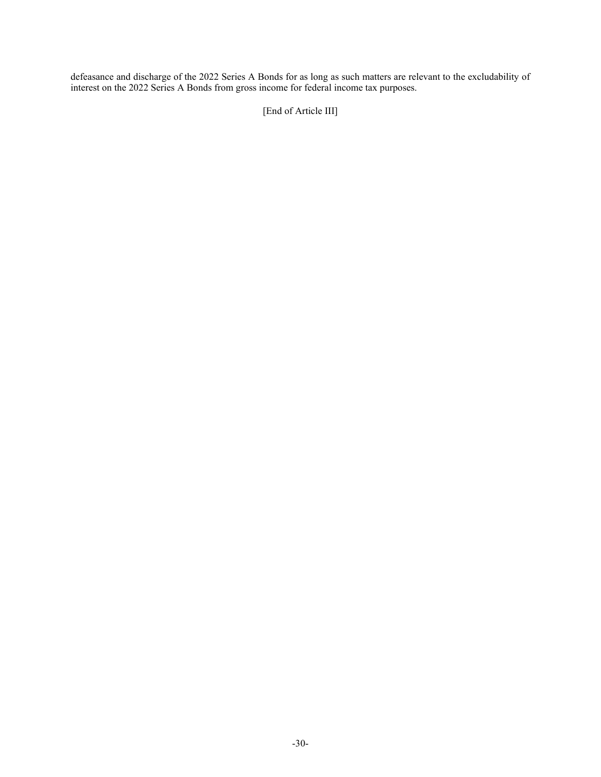defeasance and discharge of the 2022 Series A Bonds for as long as such matters are relevant to the excludability of interest on the 2022 Series A Bonds from gross income for federal income tax purposes.

[End of Article III]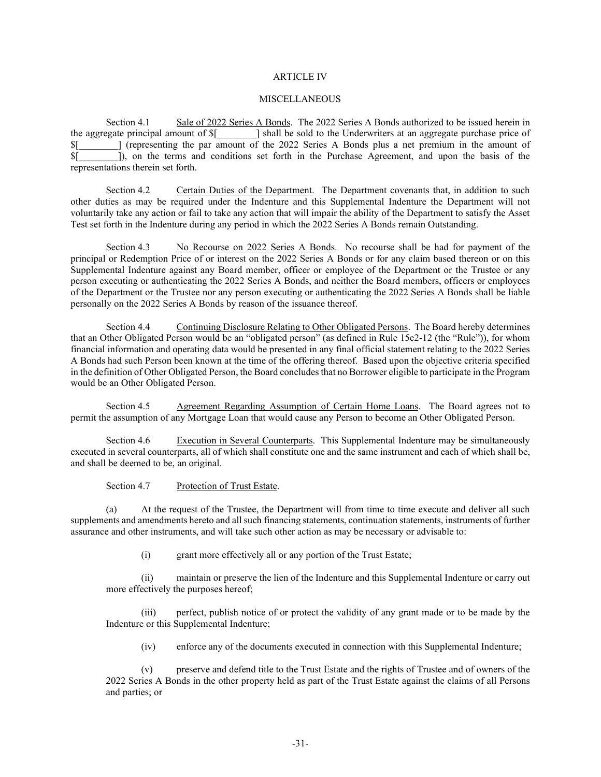#### ARTICLE IV

#### **MISCELLANEOUS**

Section 4.1 Sale of 2022 Series A Bonds. The 2022 Series A Bonds authorized to be issued herein in the aggregate principal amount of \$[\_\_\_\_\_\_\_\_] shall be sold to the Underwriters at an aggregate purchase price of \$[\_\_\_\_\_\_\_\_] (representing the par amount of the 2022 Series A Bonds plus a net premium in the amount of \$[\_\_\_\_\_\_\_\_]), on the terms and conditions set forth in the Purchase Agreement, and upon the basis of the representations therein set forth.

Section 4.2 Certain Duties of the Department. The Department covenants that, in addition to such other duties as may be required under the Indenture and this Supplemental Indenture the Department will not voluntarily take any action or fail to take any action that will impair the ability of the Department to satisfy the Asset Test set forth in the Indenture during any period in which the 2022 Series A Bonds remain Outstanding.

Section 4.3 No Recourse on 2022 Series A Bonds. No recourse shall be had for payment of the principal or Redemption Price of or interest on the 2022 Series A Bonds or for any claim based thereon or on this Supplemental Indenture against any Board member, officer or employee of the Department or the Trustee or any person executing or authenticating the 2022 Series A Bonds, and neither the Board members, officers or employees of the Department or the Trustee nor any person executing or authenticating the 2022 Series A Bonds shall be liable personally on the 2022 Series A Bonds by reason of the issuance thereof.

Section 4.4 Continuing Disclosure Relating to Other Obligated Persons. The Board hereby determines that an Other Obligated Person would be an "obligated person" (as defined in Rule 15c2-12 (the "Rule")), for whom financial information and operating data would be presented in any final official statement relating to the 2022 Series A Bonds had such Person been known at the time of the offering thereof. Based upon the objective criteria specified in the definition of Other Obligated Person, the Board concludes that no Borrower eligible to participate in the Program would be an Other Obligated Person.

Section 4.5 Agreement Regarding Assumption of Certain Home Loans. The Board agrees not to permit the assumption of any Mortgage Loan that would cause any Person to become an Other Obligated Person.

Section 4.6 Execution in Several Counterparts. This Supplemental Indenture may be simultaneously executed in several counterparts, all of which shall constitute one and the same instrument and each of which shall be, and shall be deemed to be, an original.

Section 4.7 Protection of Trust Estate.

<span id="page-31-0"></span>(a) At the request of the Trustee, the Department will from time to time execute and deliver all such supplements and amendments hereto and all such financing statements, continuation statements, instruments of further assurance and other instruments, and will take such other action as may be necessary or advisable to:

(i) grant more effectively all or any portion of the Trust Estate;

(ii) maintain or preserve the lien of the Indenture and this Supplemental Indenture or carry out more effectively the purposes hereof;

(iii) perfect, publish notice of or protect the validity of any grant made or to be made by the Indenture or this Supplemental Indenture;

(iv) enforce any of the documents executed in connection with this Supplemental Indenture;

(v) preserve and defend title to the Trust Estate and the rights of Trustee and of owners of the 2022 Series A Bonds in the other property held as part of the Trust Estate against the claims of all Persons and parties; or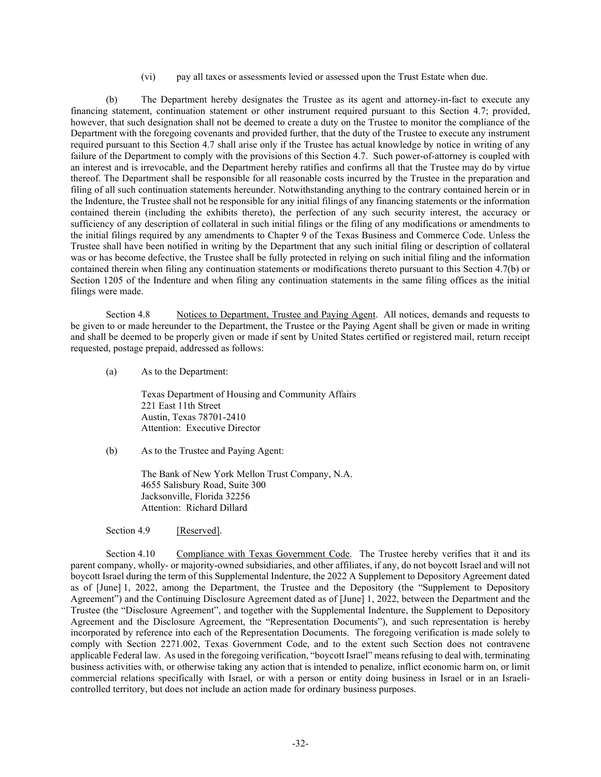(vi) pay all taxes or assessments levied or assessed upon the Trust Estate when due.

<span id="page-32-0"></span>(b) The Department hereby designates the Trustee as its agent and attorney-in-fact to execute any financing statement, continuation statement or other instrument required pursuant to this [Section 4.7;](#page-31-0) provided, however, that such designation shall not be deemed to create a duty on the Trustee to monitor the compliance of the Department with the foregoing covenants and provided further, that the duty of the Trustee to execute any instrument required pursuant to this [Section 4.7](#page-31-0) shall arise only if the Trustee has actual knowledge by notice in writing of any failure of the Department to comply with the provisions of this [Section 4.7.](#page-31-0) Such power-of-attorney is coupled with an interest and is irrevocable, and the Department hereby ratifies and confirms all that the Trustee may do by virtue thereof. The Department shall be responsible for all reasonable costs incurred by the Trustee in the preparation and filing of all such continuation statements hereunder. Notwithstanding anything to the contrary contained herein or in the Indenture, the Trustee shall not be responsible for any initial filings of any financing statements or the information contained therein (including the exhibits thereto), the perfection of any such security interest, the accuracy or sufficiency of any description of collateral in such initial filings or the filing of any modifications or amendments to the initial filings required by any amendments to Chapter 9 of the Texas Business and Commerce Code. Unless the Trustee shall have been notified in writing by the Department that any such initial filing or description of collateral was or has become defective, the Trustee shall be fully protected in relying on such initial filing and the information contained therein when filing any continuation statements or modifications thereto pursuant to this [Section 4.7\(b\)](#page-32-0) or Section 1205 of the Indenture and when filing any continuation statements in the same filing offices as the initial filings were made.

Section 4.8 Notices to Department, Trustee and Paying Agent. All notices, demands and requests to be given to or made hereunder to the Department, the Trustee or the Paying Agent shall be given or made in writing and shall be deemed to be properly given or made if sent by United States certified or registered mail, return receipt requested, postage prepaid, addressed as follows:

(a) As to the Department:

Texas Department of Housing and Community Affairs 221 East 11th Street Austin, Texas 78701-2410 Attention: Executive Director

(b) As to the Trustee and Paying Agent:

The Bank of New York Mellon Trust Company, N.A. 4655 Salisbury Road, Suite 300 Jacksonville, Florida 32256 Attention: Richard Dillard

Section 4.9 [Reserved].

Section 4.10 Compliance with Texas Government Code. The Trustee hereby verifies that it and its parent company, wholly- or majority-owned subsidiaries, and other affiliates, if any, do not boycott Israel and will not boycott Israel during the term of this Supplemental Indenture, the 2022 A Supplement to Depository Agreement dated as of [June] 1, 2022, among the Department, the Trustee and the Depository (the "Supplement to Depository Agreement") and the Continuing Disclosure Agreement dated as of [June] 1, 2022, between the Department and the Trustee (the "Disclosure Agreement", and together with the Supplemental Indenture, the Supplement to Depository Agreement and the Disclosure Agreement, the "Representation Documents"), and such representation is hereby incorporated by reference into each of the Representation Documents. The foregoing verification is made solely to comply with Section 2271.002, Texas Government Code, and to the extent such Section does not contravene applicable Federal law. As used in the foregoing verification, "boycott Israel" means refusing to deal with, terminating business activities with, or otherwise taking any action that is intended to penalize, inflict economic harm on, or limit commercial relations specifically with Israel, or with a person or entity doing business in Israel or in an Israelicontrolled territory, but does not include an action made for ordinary business purposes.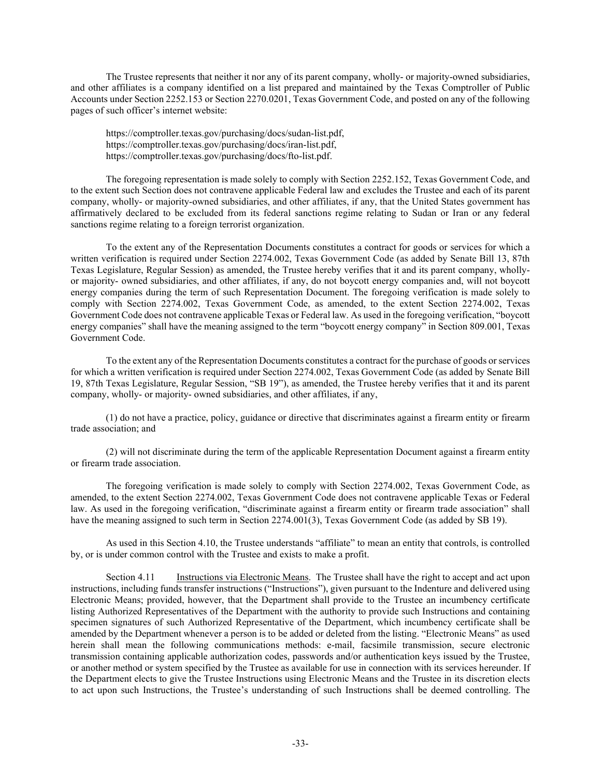The Trustee represents that neither it nor any of its parent company, wholly- or majority-owned subsidiaries, and other affiliates is a company identified on a list prepared and maintained by the Texas Comptroller of Public Accounts under Section 2252.153 or Section 2270.0201, Texas Government Code, and posted on any of the following pages of such officer's internet website:

https://comptroller.texas.gov/purchasing/docs/sudan-list.pdf, https://comptroller.texas.gov/purchasing/docs/iran-list.pdf, https://comptroller.texas.gov/purchasing/docs/fto-list.pdf.

The foregoing representation is made solely to comply with Section 2252.152, Texas Government Code, and to the extent such Section does not contravene applicable Federal law and excludes the Trustee and each of its parent company, wholly- or majority-owned subsidiaries, and other affiliates, if any, that the United States government has affirmatively declared to be excluded from its federal sanctions regime relating to Sudan or Iran or any federal sanctions regime relating to a foreign terrorist organization.

To the extent any of the Representation Documents constitutes a contract for goods or services for which a written verification is required under Section 2274.002, Texas Government Code (as added by Senate Bill 13, 87th Texas Legislature, Regular Session) as amended, the Trustee hereby verifies that it and its parent company, whollyor majority- owned subsidiaries, and other affiliates, if any, do not boycott energy companies and, will not boycott energy companies during the term of such Representation Document. The foregoing verification is made solely to comply with Section 2274.002, Texas Government Code, as amended, to the extent Section 2274.002, Texas Government Code does not contravene applicable Texas or Federal law. As used in the foregoing verification, "boycott energy companies" shall have the meaning assigned to the term "boycott energy company" in Section 809.001, Texas Government Code.

To the extent any of the Representation Documents constitutes a contract for the purchase of goods or services for which a written verification is required under Section 2274.002, Texas Government Code (as added by Senate Bill 19, 87th Texas Legislature, Regular Session, "SB 19"), as amended, the Trustee hereby verifies that it and its parent company, wholly- or majority- owned subsidiaries, and other affiliates, if any,

(1) do not have a practice, policy, guidance or directive that discriminates against a firearm entity or firearm trade association; and

(2) will not discriminate during the term of the applicable Representation Document against a firearm entity or firearm trade association.

The foregoing verification is made solely to comply with Section 2274.002, Texas Government Code, as amended, to the extent Section 2274.002, Texas Government Code does not contravene applicable Texas or Federal law. As used in the foregoing verification, "discriminate against a firearm entity or firearm trade association" shall have the meaning assigned to such term in Section 2274.001(3), Texas Government Code (as added by SB 19).

As used in this Section 4.10, the Trustee understands "affiliate" to mean an entity that controls, is controlled by, or is under common control with the Trustee and exists to make a profit.

Section 4.11 Instructions via Electronic Means. The Trustee shall have the right to accept and act upon instructions, including funds transfer instructions ("Instructions"), given pursuant to the Indenture and delivered using Electronic Means; provided, however, that the Department shall provide to the Trustee an incumbency certificate listing Authorized Representatives of the Department with the authority to provide such Instructions and containing specimen signatures of such Authorized Representative of the Department, which incumbency certificate shall be amended by the Department whenever a person is to be added or deleted from the listing. "Electronic Means" as used herein shall mean the following communications methods: e-mail, facsimile transmission, secure electronic transmission containing applicable authorization codes, passwords and/or authentication keys issued by the Trustee, or another method or system specified by the Trustee as available for use in connection with its services hereunder. If the Department elects to give the Trustee Instructions using Electronic Means and the Trustee in its discretion elects to act upon such Instructions, the Trustee's understanding of such Instructions shall be deemed controlling. The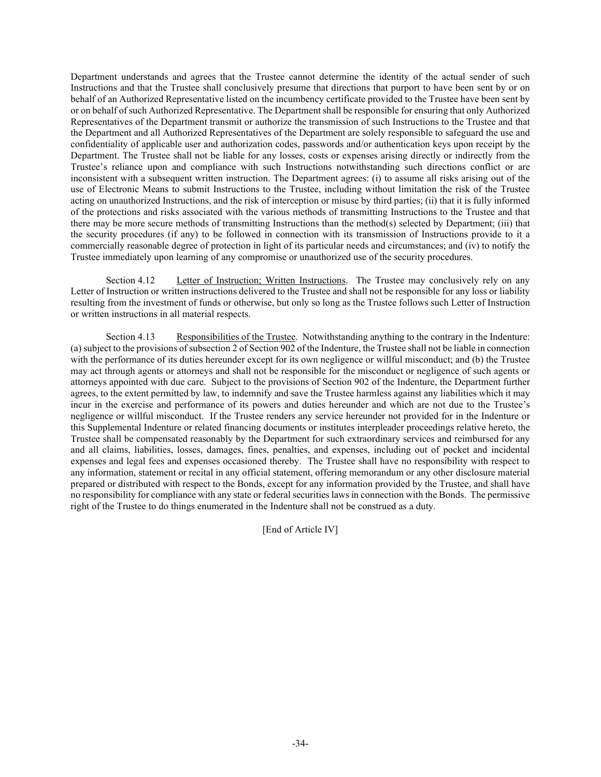Department understands and agrees that the Trustee cannot determine the identity of the actual sender of such Instructions and that the Trustee shall conclusively presume that directions that purport to have been sent by or on behalf of an Authorized Representative listed on the incumbency certificate provided to the Trustee have been sent by or on behalf of such Authorized Representative. The Department shall be responsible for ensuring that only Authorized Representatives of the Department transmit or authorize the transmission of such Instructions to the Trustee and that the Department and all Authorized Representatives of the Department are solely responsible to safeguard the use and confidentiality of applicable user and authorization codes, passwords and/or authentication keys upon receipt by the Department. The Trustee shall not be liable for any losses, costs or expenses arising directly or indirectly from the Trustee's reliance upon and compliance with such Instructions notwithstanding such directions conflict or are inconsistent with a subsequent written instruction. The Department agrees: (i) to assume all risks arising out of the use of Electronic Means to submit Instructions to the Trustee, including without limitation the risk of the Trustee acting on unauthorized Instructions, and the risk of interception or misuse by third parties; (ii) that it is fully informed of the protections and risks associated with the various methods of transmitting Instructions to the Trustee and that there may be more secure methods of transmitting Instructions than the method(s) selected by Department; (iii) that the security procedures (if any) to be followed in connection with its transmission of Instructions provide to it a commercially reasonable degree of protection in light of its particular needs and circumstances; and (iv) to notify the Trustee immediately upon learning of any compromise or unauthorized use of the security procedures.

Section 4.12 Letter of Instruction; Written Instructions. The Trustee may conclusively rely on any Letter of Instruction or written instructions delivered to the Trustee and shall not be responsible for any loss or liability resulting from the investment of funds or otherwise, but only so long as the Trustee follows such Letter of Instruction or written instructions in all material respects.

Section 4.13 Responsibilities of the Trustee. Notwithstanding anything to the contrary in the Indenture: (a) subject to the provisions of subsection 2 of Section 902 of the Indenture, the Trustee shall not be liable in connection with the performance of its duties hereunder except for its own negligence or willful misconduct; and (b) the Trustee may act through agents or attorneys and shall not be responsible for the misconduct or negligence of such agents or attorneys appointed with due care. Subject to the provisions of Section 902 of the Indenture, the Department further agrees, to the extent permitted by law, to indemnify and save the Trustee harmless against any liabilities which it may incur in the exercise and performance of its powers and duties hereunder and which are not due to the Trustee's negligence or willful misconduct. If the Trustee renders any service hereunder not provided for in the Indenture or this Supplemental Indenture or related financing documents or institutes interpleader proceedings relative hereto, the Trustee shall be compensated reasonably by the Department for such extraordinary services and reimbursed for any and all claims, liabilities, losses, damages, fines, penalties, and expenses, including out of pocket and incidental expenses and legal fees and expenses occasioned thereby. The Trustee shall have no responsibility with respect to any information, statement or recital in any official statement, offering memorandum or any other disclosure material prepared or distributed with respect to the Bonds, except for any information provided by the Trustee, and shall have no responsibility for compliance with any state or federal securities laws in connection with the Bonds. The permissive right of the Trustee to do things enumerated in the Indenture shall not be construed as a duty.

[End of Article IV]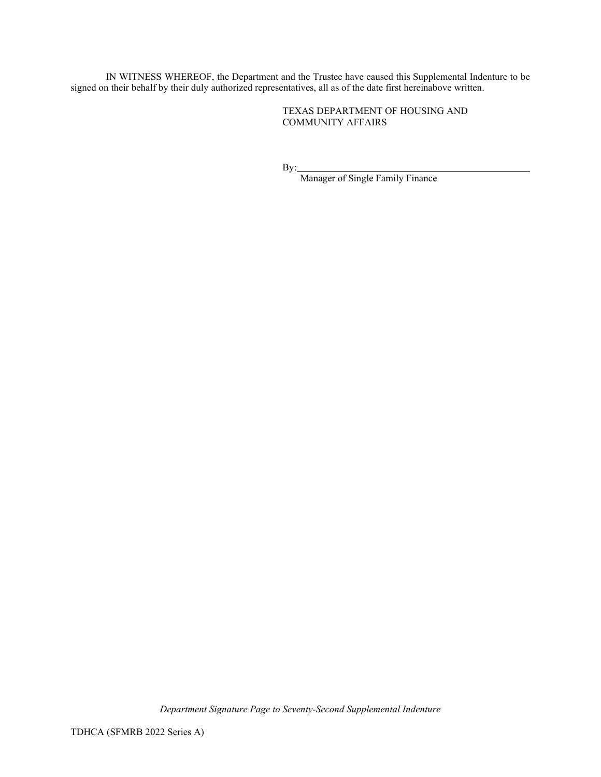IN WITNESS WHEREOF, the Department and the Trustee have caused this Supplemental Indenture to be signed on their behalf by their duly authorized representatives, all as of the date first hereinabove written.

> TEXAS DEPARTMENT OF HOUSING AND COMMUNITY AFFAIRS

By:

Manager of Single Family Finance

*Department Signature Page to Seventy-Second Supplemental Indenture*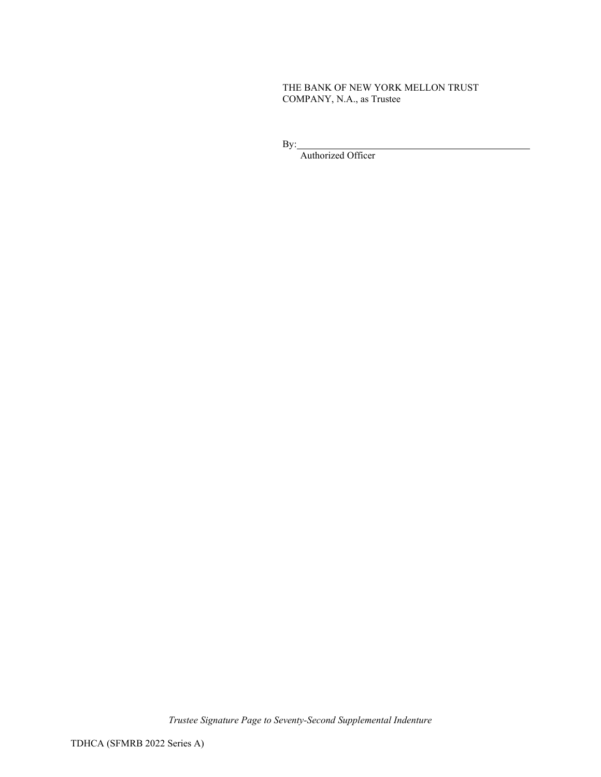# THE BANK OF NEW YORK MELLON TRUST COMPANY, N.A., as Trustee

By:

Authorized Officer

*Trustee Signature Page to Seventy-Second Supplemental Indenture*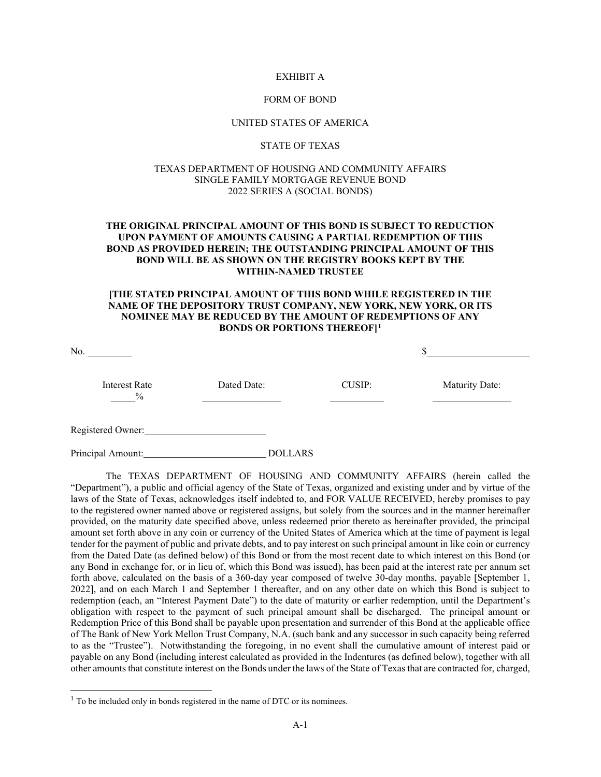#### EXHIBIT A

#### FORM OF BOND

#### UNITED STATES OF AMERICA

#### STATE OF TEXAS

#### TEXAS DEPARTMENT OF HOUSING AND COMMUNITY AFFAIRS SINGLE FAMILY MORTGAGE REVENUE BOND 2022 SERIES A (SOCIAL BONDS)

### **THE ORIGINAL PRINCIPAL AMOUNT OF THIS BOND IS SUBJECT TO REDUCTION UPON PAYMENT OF AMOUNTS CAUSING A PARTIAL REDEMPTION OF THIS BOND AS PROVIDED HEREIN; THE OUTSTANDING PRINCIPAL AMOUNT OF THIS BOND WILL BE AS SHOWN ON THE REGISTRY BOOKS KEPT BY THE WITHIN-NAMED TRUSTEE**

#### **[THE STATED PRINCIPAL AMOUNT OF THIS BOND WHILE REGISTERED IN THE NAME OF THE DEPOSITORY TRUST COMPANY, NEW YORK, NEW YORK, OR ITS NOMINEE MAY BE REDUCED BY THE AMOUNT OF REDEMPTIONS OF ANY BONDS OR PORTIONS THEREOF][1](#page-37-0)**

| <b>Interest Rate</b><br>$\frac{0}{0}$ | Dated Date: | <b>CUSIP:</b> | Maturity Date: |
|---------------------------------------|-------------|---------------|----------------|
| Registered Owner:                     |             |               |                |

Principal Amount: DOLLARS

The TEXAS DEPARTMENT OF HOUSING AND COMMUNITY AFFAIRS (herein called the "Department"), a public and official agency of the State of Texas, organized and existing under and by virtue of the laws of the State of Texas, acknowledges itself indebted to, and FOR VALUE RECEIVED, hereby promises to pay to the registered owner named above or registered assigns, but solely from the sources and in the manner hereinafter provided, on the maturity date specified above, unless redeemed prior thereto as hereinafter provided, the principal amount set forth above in any coin or currency of the United States of America which at the time of payment is legal tender for the payment of public and private debts, and to pay interest on such principal amount in like coin or currency from the Dated Date (as defined below) of this Bond or from the most recent date to which interest on this Bond (or any Bond in exchange for, or in lieu of, which this Bond was issued), has been paid at the interest rate per annum set forth above, calculated on the basis of a 360-day year composed of twelve 30-day months, payable [September 1, 2022], and on each March 1 and September 1 thereafter, and on any other date on which this Bond is subject to redemption (each, an "Interest Payment Date") to the date of maturity or earlier redemption, until the Department's obligation with respect to the payment of such principal amount shall be discharged. The principal amount or Redemption Price of this Bond shall be payable upon presentation and surrender of this Bond at the applicable office of The Bank of New York Mellon Trust Company, N.A. (such bank and any successor in such capacity being referred to as the "Trustee"). Notwithstanding the foregoing, in no event shall the cumulative amount of interest paid or payable on any Bond (including interest calculated as provided in the Indentures (as defined below), together with all other amounts that constitute interest on the Bonds under the laws of the State of Texas that are contracted for, charged,

<span id="page-37-0"></span><sup>&</sup>lt;sup>1</sup> To be included only in bonds registered in the name of DTC or its nominees.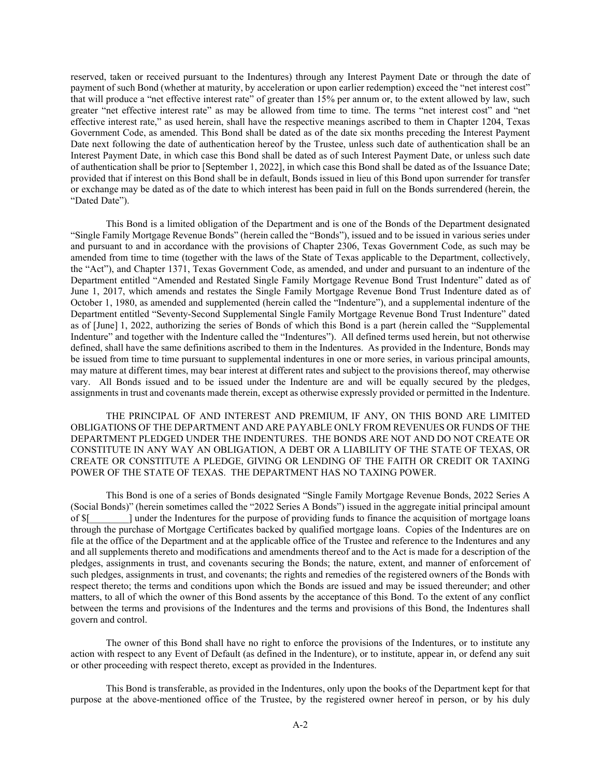reserved, taken or received pursuant to the Indentures) through any Interest Payment Date or through the date of payment of such Bond (whether at maturity, by acceleration or upon earlier redemption) exceed the "net interest cost" that will produce a "net effective interest rate" of greater than 15% per annum or, to the extent allowed by law, such greater "net effective interest rate" as may be allowed from time to time. The terms "net interest cost" and "net effective interest rate," as used herein, shall have the respective meanings ascribed to them in Chapter 1204, Texas Government Code, as amended. This Bond shall be dated as of the date six months preceding the Interest Payment Date next following the date of authentication hereof by the Trustee, unless such date of authentication shall be an Interest Payment Date, in which case this Bond shall be dated as of such Interest Payment Date, or unless such date of authentication shall be prior to [September 1, 2022], in which case this Bond shall be dated as of the Issuance Date; provided that if interest on this Bond shall be in default, Bonds issued in lieu of this Bond upon surrender for transfer or exchange may be dated as of the date to which interest has been paid in full on the Bonds surrendered (herein, the "Dated Date").

This Bond is a limited obligation of the Department and is one of the Bonds of the Department designated "Single Family Mortgage Revenue Bonds" (herein called the "Bonds"), issued and to be issued in various series under and pursuant to and in accordance with the provisions of Chapter 2306, Texas Government Code, as such may be amended from time to time (together with the laws of the State of Texas applicable to the Department, collectively, the "Act"), and Chapter 1371, Texas Government Code, as amended, and under and pursuant to an indenture of the Department entitled "Amended and Restated Single Family Mortgage Revenue Bond Trust Indenture" dated as of June 1, 2017, which amends and restates the Single Family Mortgage Revenue Bond Trust Indenture dated as of October 1, 1980, as amended and supplemented (herein called the "Indenture"), and a supplemental indenture of the Department entitled "Seventy-Second Supplemental Single Family Mortgage Revenue Bond Trust Indenture" dated as of [June] 1, 2022, authorizing the series of Bonds of which this Bond is a part (herein called the "Supplemental Indenture" and together with the Indenture called the "Indentures"). All defined terms used herein, but not otherwise defined, shall have the same definitions ascribed to them in the Indentures. As provided in the Indenture, Bonds may be issued from time to time pursuant to supplemental indentures in one or more series, in various principal amounts, may mature at different times, may bear interest at different rates and subject to the provisions thereof, may otherwise vary. All Bonds issued and to be issued under the Indenture are and will be equally secured by the pledges, assignments in trust and covenants made therein, except as otherwise expressly provided or permitted in the Indenture.

THE PRINCIPAL OF AND INTEREST AND PREMIUM, IF ANY, ON THIS BOND ARE LIMITED OBLIGATIONS OF THE DEPARTMENT AND ARE PAYABLE ONLY FROM REVENUES OR FUNDS OF THE DEPARTMENT PLEDGED UNDER THE INDENTURES. THE BONDS ARE NOT AND DO NOT CREATE OR CONSTITUTE IN ANY WAY AN OBLIGATION, A DEBT OR A LIABILITY OF THE STATE OF TEXAS, OR CREATE OR CONSTITUTE A PLEDGE, GIVING OR LENDING OF THE FAITH OR CREDIT OR TAXING POWER OF THE STATE OF TEXAS. THE DEPARTMENT HAS NO TAXING POWER.

This Bond is one of a series of Bonds designated "Single Family Mortgage Revenue Bonds, 2022 Series A (Social Bonds)" (herein sometimes called the "2022 Series A Bonds") issued in the aggregate initial principal amount of \$[\_\_\_\_\_\_\_\_] under the Indentures for the purpose of providing funds to finance the acquisition of mortgage loans through the purchase of Mortgage Certificates backed by qualified mortgage loans. Copies of the Indentures are on file at the office of the Department and at the applicable office of the Trustee and reference to the Indentures and any and all supplements thereto and modifications and amendments thereof and to the Act is made for a description of the pledges, assignments in trust, and covenants securing the Bonds; the nature, extent, and manner of enforcement of such pledges, assignments in trust, and covenants; the rights and remedies of the registered owners of the Bonds with respect thereto; the terms and conditions upon which the Bonds are issued and may be issued thereunder; and other matters, to all of which the owner of this Bond assents by the acceptance of this Bond. To the extent of any conflict between the terms and provisions of the Indentures and the terms and provisions of this Bond, the Indentures shall govern and control.

The owner of this Bond shall have no right to enforce the provisions of the Indentures, or to institute any action with respect to any Event of Default (as defined in the Indenture), or to institute, appear in, or defend any suit or other proceeding with respect thereto, except as provided in the Indentures.

This Bond is transferable, as provided in the Indentures, only upon the books of the Department kept for that purpose at the above-mentioned office of the Trustee, by the registered owner hereof in person, or by his duly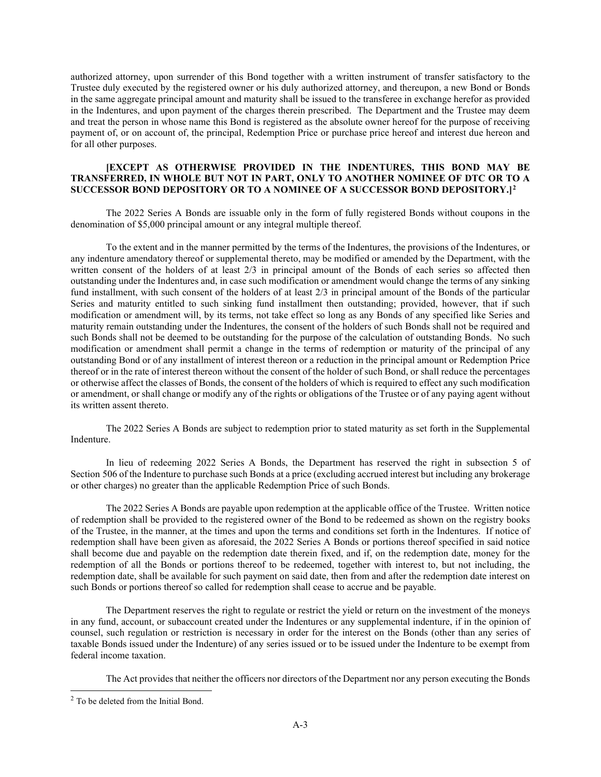authorized attorney, upon surrender of this Bond together with a written instrument of transfer satisfactory to the Trustee duly executed by the registered owner or his duly authorized attorney, and thereupon, a new Bond or Bonds in the same aggregate principal amount and maturity shall be issued to the transferee in exchange herefor as provided in the Indentures, and upon payment of the charges therein prescribed. The Department and the Trustee may deem and treat the person in whose name this Bond is registered as the absolute owner hereof for the purpose of receiving payment of, or on account of, the principal, Redemption Price or purchase price hereof and interest due hereon and for all other purposes.

#### **[EXCEPT AS OTHERWISE PROVIDED IN THE INDENTURES, THIS BOND MAY BE TRANSFERRED, IN WHOLE BUT NOT IN PART, ONLY TO ANOTHER NOMINEE OF DTC OR TO A SUCCESSOR BOND DEPOSITORY OR TO A NOMINEE OF A SUCCESSOR BOND DEPOSITORY.][2](#page-39-0)**

The 2022 Series A Bonds are issuable only in the form of fully registered Bonds without coupons in the denomination of \$5,000 principal amount or any integral multiple thereof.

To the extent and in the manner permitted by the terms of the Indentures, the provisions of the Indentures, or any indenture amendatory thereof or supplemental thereto, may be modified or amended by the Department, with the written consent of the holders of at least 2/3 in principal amount of the Bonds of each series so affected then outstanding under the Indentures and, in case such modification or amendment would change the terms of any sinking fund installment, with such consent of the holders of at least 2/3 in principal amount of the Bonds of the particular Series and maturity entitled to such sinking fund installment then outstanding; provided, however, that if such modification or amendment will, by its terms, not take effect so long as any Bonds of any specified like Series and maturity remain outstanding under the Indentures, the consent of the holders of such Bonds shall not be required and such Bonds shall not be deemed to be outstanding for the purpose of the calculation of outstanding Bonds. No such modification or amendment shall permit a change in the terms of redemption or maturity of the principal of any outstanding Bond or of any installment of interest thereon or a reduction in the principal amount or Redemption Price thereof or in the rate of interest thereon without the consent of the holder of such Bond, or shall reduce the percentages or otherwise affect the classes of Bonds, the consent of the holders of which is required to effect any such modification or amendment, or shall change or modify any of the rights or obligations of the Trustee or of any paying agent without its written assent thereto.

The 2022 Series A Bonds are subject to redemption prior to stated maturity as set forth in the Supplemental Indenture.

In lieu of redeeming 2022 Series A Bonds, the Department has reserved the right in subsection 5 of Section 506 of the Indenture to purchase such Bonds at a price (excluding accrued interest but including any brokerage or other charges) no greater than the applicable Redemption Price of such Bonds.

The 2022 Series A Bonds are payable upon redemption at the applicable office of the Trustee. Written notice of redemption shall be provided to the registered owner of the Bond to be redeemed as shown on the registry books of the Trustee, in the manner, at the times and upon the terms and conditions set forth in the Indentures. If notice of redemption shall have been given as aforesaid, the 2022 Series A Bonds or portions thereof specified in said notice shall become due and payable on the redemption date therein fixed, and if, on the redemption date, money for the redemption of all the Bonds or portions thereof to be redeemed, together with interest to, but not including, the redemption date, shall be available for such payment on said date, then from and after the redemption date interest on such Bonds or portions thereof so called for redemption shall cease to accrue and be payable.

The Department reserves the right to regulate or restrict the yield or return on the investment of the moneys in any fund, account, or subaccount created under the Indentures or any supplemental indenture, if in the opinion of counsel, such regulation or restriction is necessary in order for the interest on the Bonds (other than any series of taxable Bonds issued under the Indenture) of any series issued or to be issued under the Indenture to be exempt from federal income taxation.

The Act provides that neither the officers nor directors of the Department nor any person executing the Bonds

<span id="page-39-0"></span><sup>2</sup> To be deleted from the Initial Bond.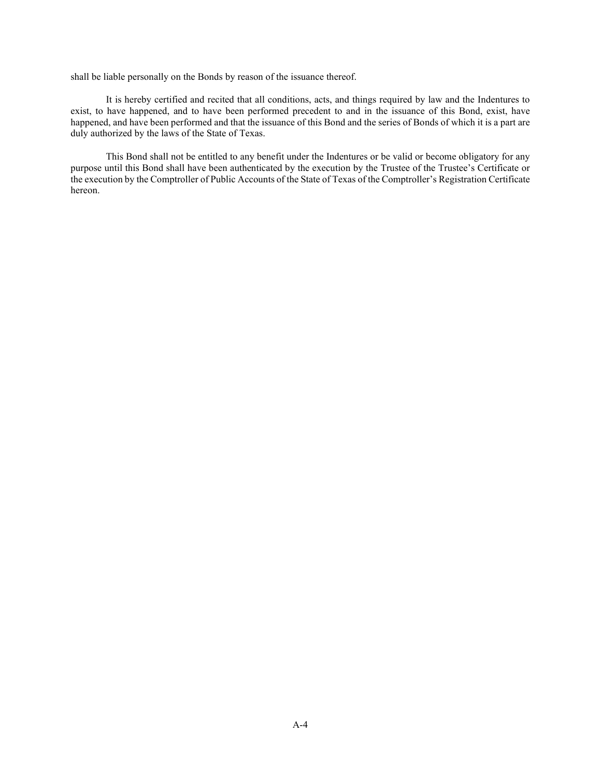shall be liable personally on the Bonds by reason of the issuance thereof.

It is hereby certified and recited that all conditions, acts, and things required by law and the Indentures to exist, to have happened, and to have been performed precedent to and in the issuance of this Bond, exist, have happened, and have been performed and that the issuance of this Bond and the series of Bonds of which it is a part are duly authorized by the laws of the State of Texas.

This Bond shall not be entitled to any benefit under the Indentures or be valid or become obligatory for any purpose until this Bond shall have been authenticated by the execution by the Trustee of the Trustee's Certificate or the execution by the Comptroller of Public Accounts of the State of Texas of the Comptroller's Registration Certificate hereon.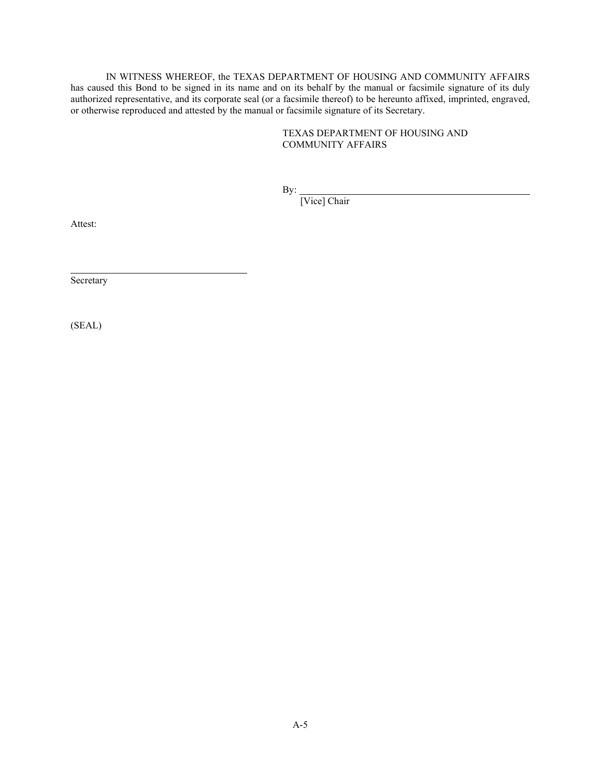IN WITNESS WHEREOF, the TEXAS DEPARTMENT OF HOUSING AND COMMUNITY AFFAIRS has caused this Bond to be signed in its name and on its behalf by the manual or facsimile signature of its duly authorized representative, and its corporate seal (or a facsimile thereof) to be hereunto affixed, imprinted, engraved, or otherwise reproduced and attested by the manual or facsimile signature of its Secretary.

## TEXAS DEPARTMENT OF HOUSING AND COMMUNITY AFFAIRS

By:

[Vice] Chair

Attest:

Secretary

(SEAL)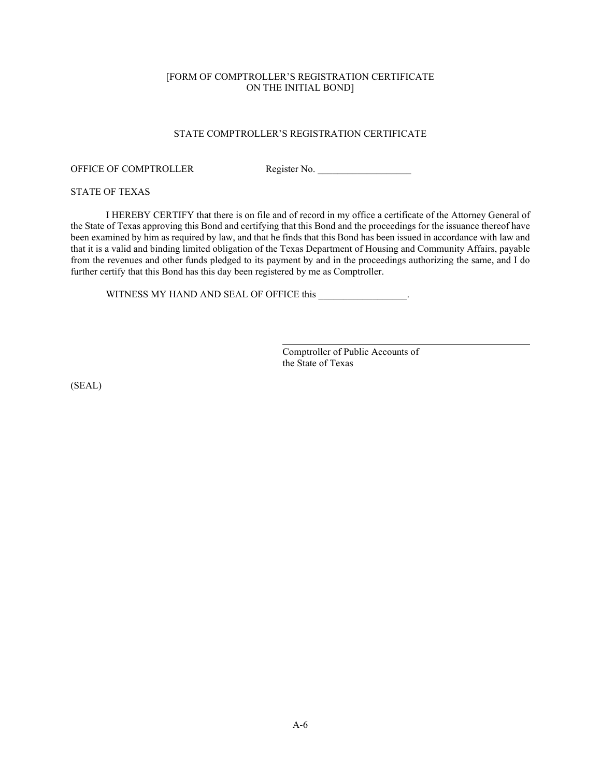## [FORM OF COMPTROLLER'S REGISTRATION CERTIFICATE ON THE INITIAL BOND]

### STATE COMPTROLLER'S REGISTRATION CERTIFICATE

#### OFFICE OF COMPTROLLER Register No.

#### STATE OF TEXAS

I HEREBY CERTIFY that there is on file and of record in my office a certificate of the Attorney General of the State of Texas approving this Bond and certifying that this Bond and the proceedings for the issuance thereof have been examined by him as required by law, and that he finds that this Bond has been issued in accordance with law and that it is a valid and binding limited obligation of the Texas Department of Housing and Community Affairs, payable from the revenues and other funds pledged to its payment by and in the proceedings authorizing the same, and I do further certify that this Bond has this day been registered by me as Comptroller.

WITNESS MY HAND AND SEAL OF OFFICE this \_\_\_\_\_\_\_\_\_\_\_\_\_\_\_\_.

Comptroller of Public Accounts of the State of Texas

(SEAL)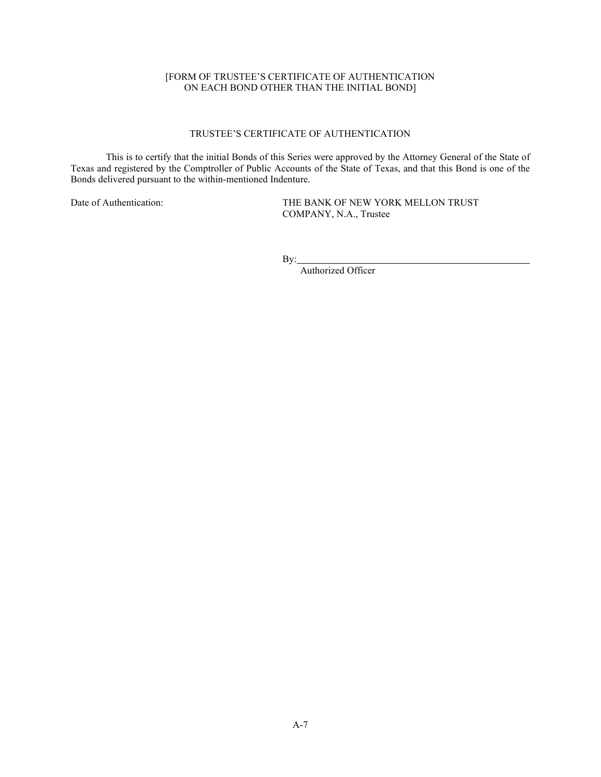## [FORM OF TRUSTEE'S CERTIFICATE OF AUTHENTICATION ON EACH BOND OTHER THAN THE INITIAL BOND]

# TRUSTEE'S CERTIFICATE OF AUTHENTICATION

This is to certify that the initial Bonds of this Series were approved by the Attorney General of the State of Texas and registered by the Comptroller of Public Accounts of the State of Texas, and that this Bond is one of the Bonds delivered pursuant to the within-mentioned Indenture.

Date of Authentication: THE BANK OF NEW YORK MELLON TRUST COMPANY, N.A., Trustee

By:

Authorized Officer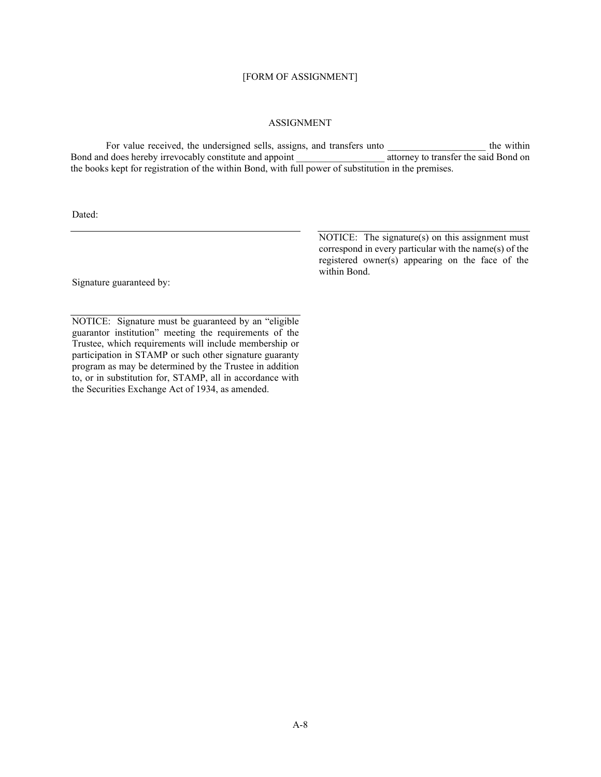## [FORM OF ASSIGNMENT]

#### ASSIGNMENT

For value received, the undersigned sells, assigns, and transfers unto <br>d does hereby irrevocably constitute and appoint<br>d does hereby irrevocably constitute and appoint Bond and does hereby irrevocably constitute and appoint the books kept for registration of the within Bond, with full power of substitution in the premises.

Dated:

Signature guaranteed by:

NOTICE: Signature must be guaranteed by an "eligible guarantor institution" meeting the requirements of the Trustee, which requirements will include membership or participation in STAMP or such other signature guaranty program as may be determined by the Trustee in addition to, or in substitution for, STAMP, all in accordance with the Securities Exchange Act of 1934, as amended.

NOTICE: The signature(s) on this assignment must correspond in every particular with the name(s) of the registered owner(s) appearing on the face of the within Bond.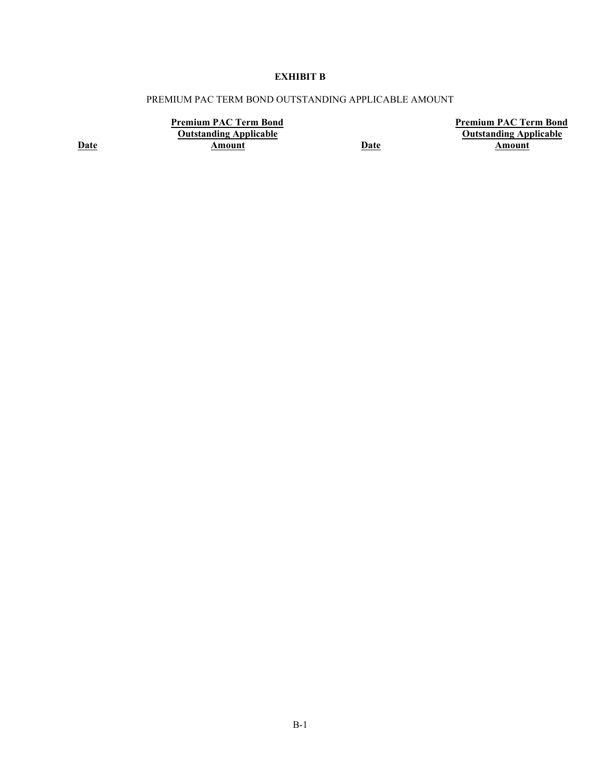# **EXHIBIT B**

## PREMIUM PAC TERM BOND OUTSTANDING APPLICABLE AMOUNT

**Premium PAC Term Bond Outstanding Applicable Amount Date**

**Premium PAC Term Bond Outstanding Applicable Amount**

**Date**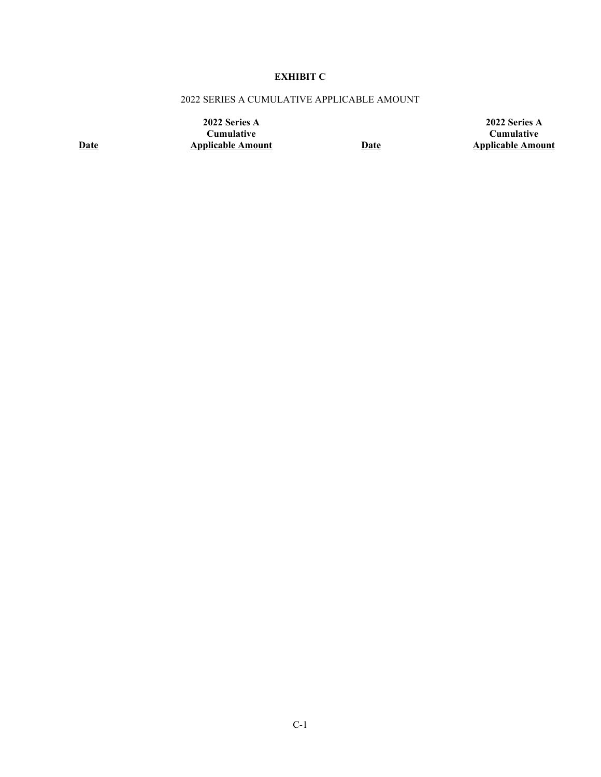# **EXHIBIT C**

# 2022 SERIES A CUMULATIVE APPLICABLE AMOUNT

**2022 Series A Cumulative Applicable Amount Date**

**2022 Series A Cumulative Applicable Amount**

**Date**